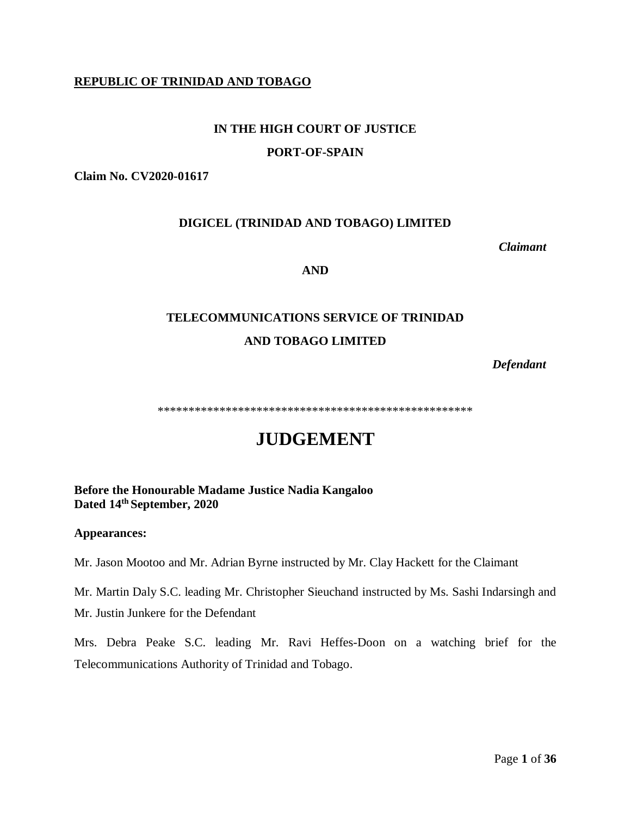## **REPUBLIC OF TRINIDAD AND TOBAGO**

# **IN THE HIGH COURT OF JUSTICE**

### **PORT-OF-SPAIN**

**Claim No. CV2020-01617**

## **DIGICEL (TRINIDAD AND TOBAGO) LIMITED**

 *Claimant*

#### **AND**

# **TELECOMMUNICATIONS SERVICE OF TRINIDAD AND TOBAGO LIMITED**

*Defendant*

\*\*\*\*\*\*\*\*\*\*\*\*\*\*\*\*\*\*\*\*\*\*\*\*\*\*\*\*\*\*\*\*\*\*\*\*\*\*\*\*\*\*\*\*\*\*\*\*\*\*\*

# **JUDGEMENT**

**Before the Honourable Madame Justice Nadia Kangaloo Dated 14th September, 2020**

#### **Appearances:**

Mr. Jason Mootoo and Mr. Adrian Byrne instructed by Mr. Clay Hackett for the Claimant

Mr. Martin Daly S.C. leading Mr. Christopher Sieuchand instructed by Ms. Sashi Indarsingh and Mr. Justin Junkere for the Defendant

Mrs. Debra Peake S.C. leading Mr. Ravi Heffes-Doon on a watching brief for the Telecommunications Authority of Trinidad and Tobago.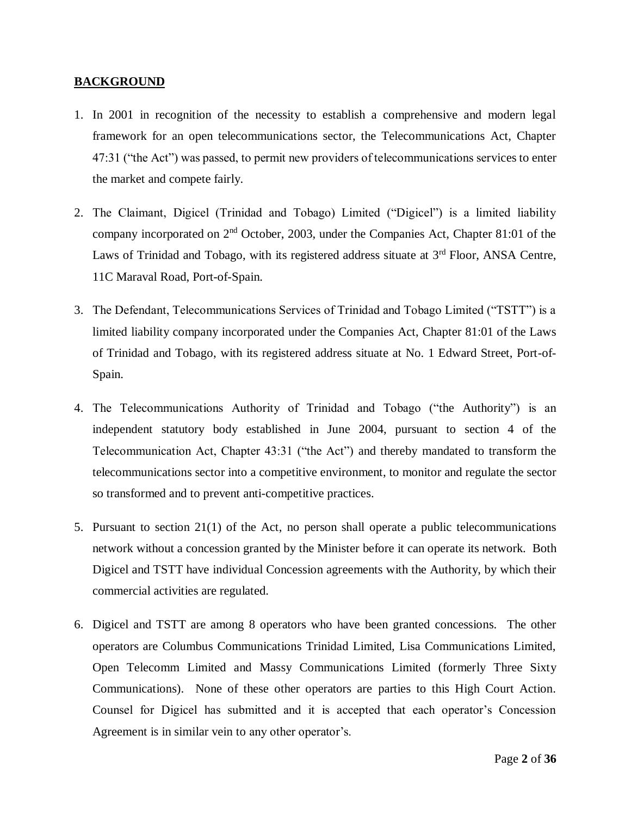## **BACKGROUND**

- 1. In 2001 in recognition of the necessity to establish a comprehensive and modern legal framework for an open telecommunications sector, the Telecommunications Act, Chapter 47:31 ("the Act") was passed, to permit new providers of telecommunications services to enter the market and compete fairly.
- 2. The Claimant, Digicel (Trinidad and Tobago) Limited ("Digicel") is a limited liability company incorporated on 2nd October, 2003, under the Companies Act, Chapter 81:01 of the Laws of Trinidad and Tobago, with its registered address situate at  $3<sup>rd</sup>$  Floor, ANSA Centre, 11C Maraval Road, Port-of-Spain.
- 3. The Defendant, Telecommunications Services of Trinidad and Tobago Limited ("TSTT") is a limited liability company incorporated under the Companies Act, Chapter 81:01 of the Laws of Trinidad and Tobago, with its registered address situate at No. 1 Edward Street, Port-of-Spain.
- 4. The Telecommunications Authority of Trinidad and Tobago ("the Authority") is an independent statutory body established in June 2004, pursuant to section 4 of the Telecommunication Act, Chapter 43:31 ("the Act") and thereby mandated to transform the telecommunications sector into a competitive environment, to monitor and regulate the sector so transformed and to prevent anti-competitive practices.
- 5. Pursuant to section 21(1) of the Act, no person shall operate a public telecommunications network without a concession granted by the Minister before it can operate its network. Both Digicel and TSTT have individual Concession agreements with the Authority, by which their commercial activities are regulated.
- 6. Digicel and TSTT are among 8 operators who have been granted concessions. The other operators are Columbus Communications Trinidad Limited, Lisa Communications Limited, Open Telecomm Limited and Massy Communications Limited (formerly Three Sixty Communications). None of these other operators are parties to this High Court Action. Counsel for Digicel has submitted and it is accepted that each operator's Concession Agreement is in similar vein to any other operator's.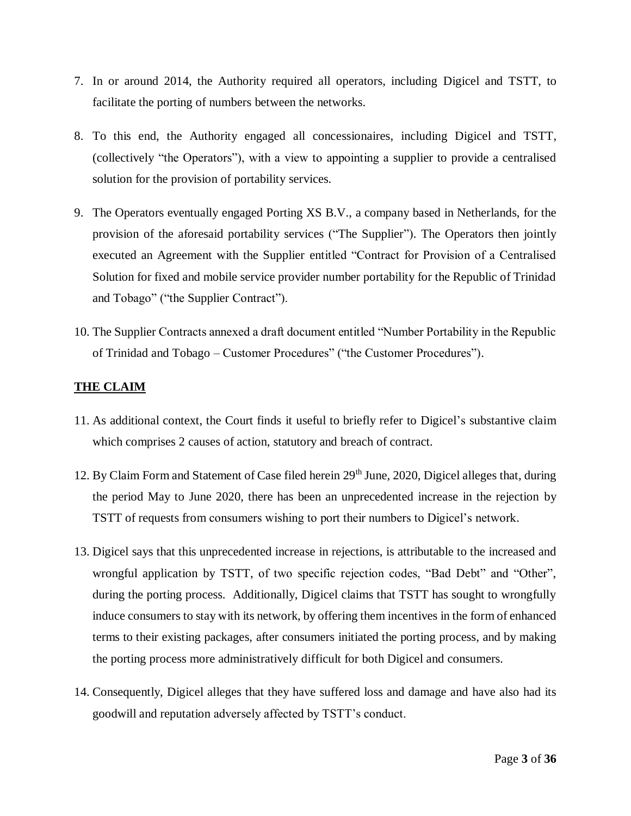- 7. In or around 2014, the Authority required all operators, including Digicel and TSTT, to facilitate the porting of numbers between the networks.
- 8. To this end, the Authority engaged all concessionaires, including Digicel and TSTT, (collectively "the Operators"), with a view to appointing a supplier to provide a centralised solution for the provision of portability services.
- 9. The Operators eventually engaged Porting XS B.V., a company based in Netherlands, for the provision of the aforesaid portability services ("The Supplier"). The Operators then jointly executed an Agreement with the Supplier entitled "Contract for Provision of a Centralised Solution for fixed and mobile service provider number portability for the Republic of Trinidad and Tobago" ("the Supplier Contract").
- 10. The Supplier Contracts annexed a draft document entitled "Number Portability in the Republic of Trinidad and Tobago – Customer Procedures" ("the Customer Procedures").

## **THE CLAIM**

- 11. As additional context, the Court finds it useful to briefly refer to Digicel's substantive claim which comprises 2 causes of action, statutory and breach of contract.
- 12. By Claim Form and Statement of Case filed herein 29<sup>th</sup> June, 2020, Digicel alleges that, during the period May to June 2020, there has been an unprecedented increase in the rejection by TSTT of requests from consumers wishing to port their numbers to Digicel's network.
- 13. Digicel says that this unprecedented increase in rejections, is attributable to the increased and wrongful application by TSTT, of two specific rejection codes, "Bad Debt" and "Other", during the porting process. Additionally, Digicel claims that TSTT has sought to wrongfully induce consumers to stay with its network, by offering them incentives in the form of enhanced terms to their existing packages, after consumers initiated the porting process, and by making the porting process more administratively difficult for both Digicel and consumers.
- 14. Consequently, Digicel alleges that they have suffered loss and damage and have also had its goodwill and reputation adversely affected by TSTT's conduct.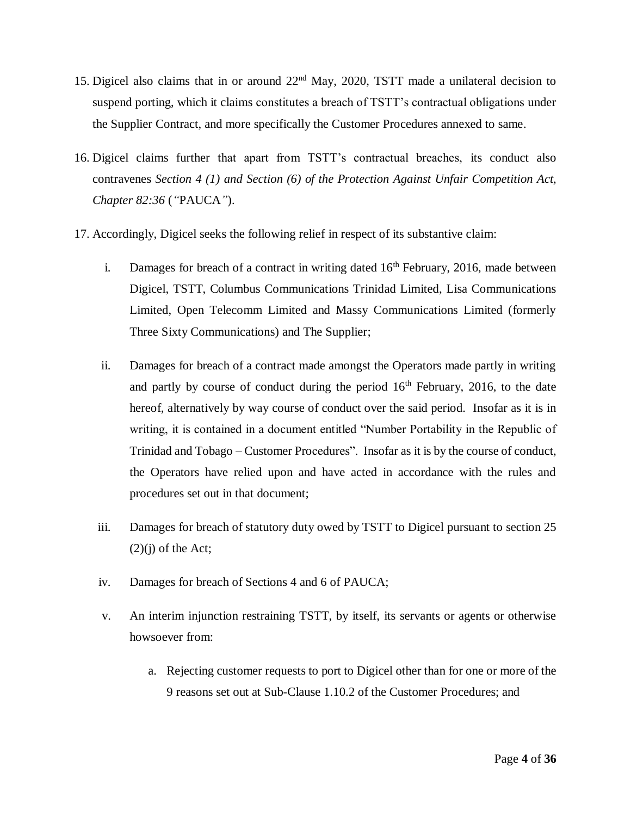- 15. Digicel also claims that in or around 22nd May, 2020, TSTT made a unilateral decision to suspend porting, which it claims constitutes a breach of TSTT's contractual obligations under the Supplier Contract, and more specifically the Customer Procedures annexed to same.
- 16. Digicel claims further that apart from TSTT's contractual breaches, its conduct also contravenes *Section 4 (1) and Section (6) of the Protection Against Unfair Competition Act, Chapter 82:36* (*"*PAUCA*"*).
- 17. Accordingly, Digicel seeks the following relief in respect of its substantive claim:
	- i. Damages for breach of a contract in writing dated  $16<sup>th</sup>$  February, 2016, made between Digicel, TSTT, Columbus Communications Trinidad Limited, Lisa Communications Limited, Open Telecomm Limited and Massy Communications Limited (formerly Three Sixty Communications) and The Supplier;
	- ii. Damages for breach of a contract made amongst the Operators made partly in writing and partly by course of conduct during the period  $16<sup>th</sup>$  February, 2016, to the date hereof, alternatively by way course of conduct over the said period. Insofar as it is in writing, it is contained in a document entitled "Number Portability in the Republic of Trinidad and Tobago – Customer Procedures". Insofar as it is by the course of conduct, the Operators have relied upon and have acted in accordance with the rules and procedures set out in that document;
	- iii. Damages for breach of statutory duty owed by TSTT to Digicel pursuant to section 25  $(2)(i)$  of the Act;
	- iv. Damages for breach of Sections 4 and 6 of PAUCA;
	- v. An interim injunction restraining TSTT, by itself, its servants or agents or otherwise howsoever from:
		- a. Rejecting customer requests to port to Digicel other than for one or more of the 9 reasons set out at Sub-Clause 1.10.2 of the Customer Procedures; and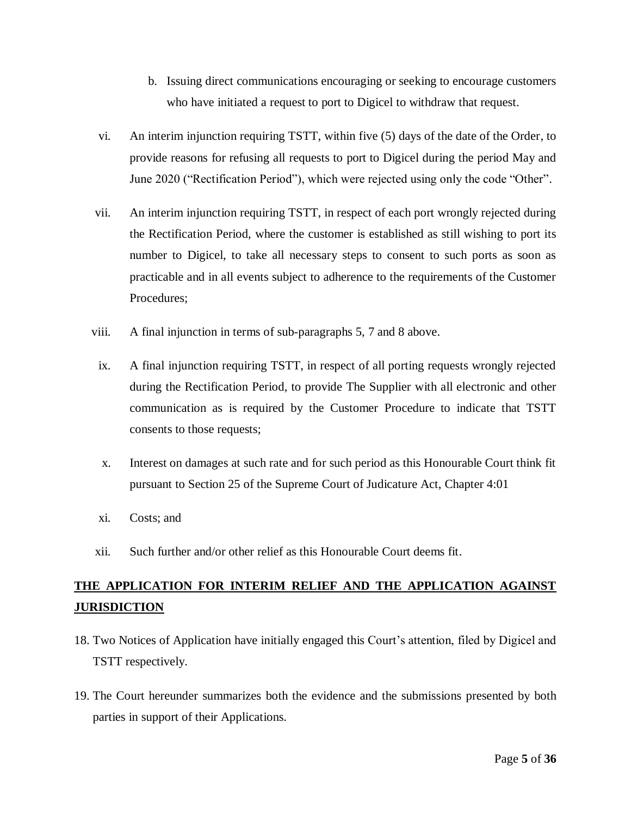- b. Issuing direct communications encouraging or seeking to encourage customers who have initiated a request to port to Digicel to withdraw that request.
- vi. An interim injunction requiring TSTT, within five (5) days of the date of the Order, to provide reasons for refusing all requests to port to Digicel during the period May and June 2020 ("Rectification Period"), which were rejected using only the code "Other".
- vii. An interim injunction requiring TSTT, in respect of each port wrongly rejected during the Rectification Period, where the customer is established as still wishing to port its number to Digicel, to take all necessary steps to consent to such ports as soon as practicable and in all events subject to adherence to the requirements of the Customer Procedures;
- viii. A final injunction in terms of sub-paragraphs 5, 7 and 8 above.
	- ix. A final injunction requiring TSTT, in respect of all porting requests wrongly rejected during the Rectification Period, to provide The Supplier with all electronic and other communication as is required by the Customer Procedure to indicate that TSTT consents to those requests;
	- x. Interest on damages at such rate and for such period as this Honourable Court think fit pursuant to Section 25 of the Supreme Court of Judicature Act, Chapter 4:01
	- xi. Costs; and
- xii. Such further and/or other relief as this Honourable Court deems fit.

## **THE APPLICATION FOR INTERIM RELIEF AND THE APPLICATION AGAINST JURISDICTION**

- 18. Two Notices of Application have initially engaged this Court's attention, filed by Digicel and TSTT respectively.
- 19. The Court hereunder summarizes both the evidence and the submissions presented by both parties in support of their Applications.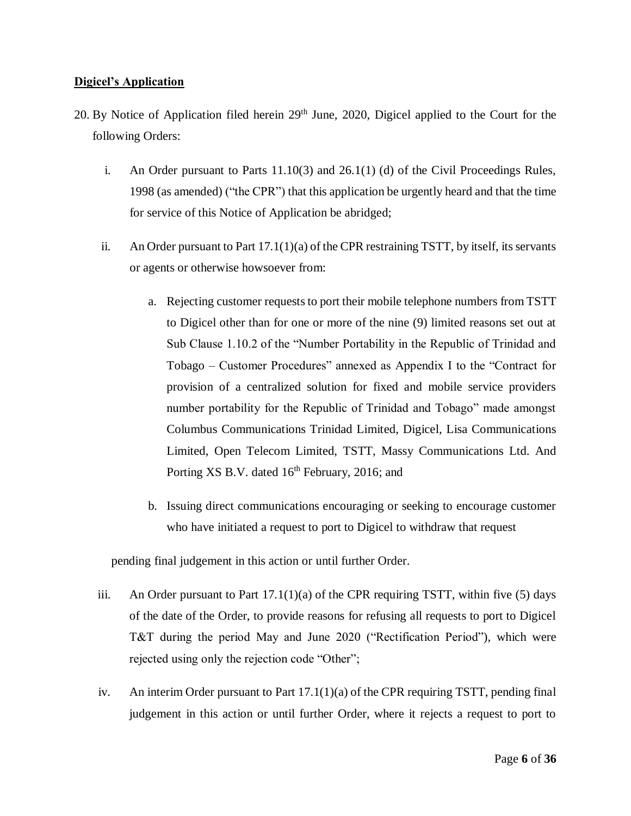## **Digicel's Application**

- 20. By Notice of Application filed herein 29<sup>th</sup> June, 2020, Digicel applied to the Court for the following Orders:
	- i. An Order pursuant to Parts 11.10(3) and 26.1(1) (d) of the Civil Proceedings Rules, 1998 (as amended) ("the CPR") that this application be urgently heard and that the time for service of this Notice of Application be abridged;
	- ii. An Order pursuant to Part 17.1(1)(a) of the CPR restraining TSTT, by itself, its servants or agents or otherwise howsoever from:
		- a. Rejecting customer requests to port their mobile telephone numbers from TSTT to Digicel other than for one or more of the nine (9) limited reasons set out at Sub Clause 1.10.2 of the "Number Portability in the Republic of Trinidad and Tobago – Customer Procedures" annexed as Appendix I to the "Contract for provision of a centralized solution for fixed and mobile service providers number portability for the Republic of Trinidad and Tobago" made amongst Columbus Communications Trinidad Limited, Digicel, Lisa Communications Limited, Open Telecom Limited, TSTT, Massy Communications Ltd. And Porting XS B.V. dated 16<sup>th</sup> February, 2016; and
		- b. Issuing direct communications encouraging or seeking to encourage customer who have initiated a request to port to Digicel to withdraw that request

pending final judgement in this action or until further Order.

- iii. An Order pursuant to Part  $17.1(1)(a)$  of the CPR requiring TSTT, within five (5) days of the date of the Order, to provide reasons for refusing all requests to port to Digicel T&T during the period May and June 2020 ("Rectification Period"), which were rejected using only the rejection code "Other";
- iv. An interim Order pursuant to Part 17.1(1)(a) of the CPR requiring TSTT, pending final judgement in this action or until further Order, where it rejects a request to port to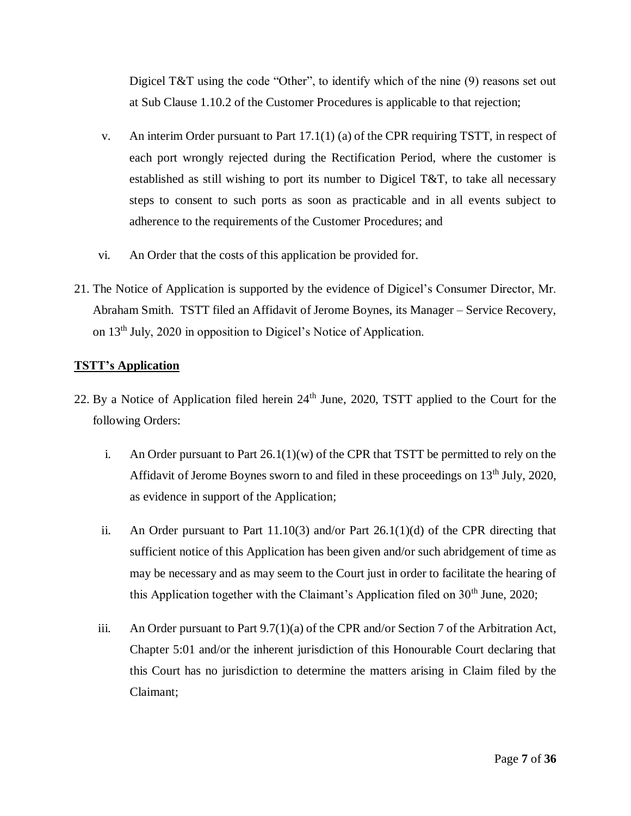Digicel T&T using the code "Other", to identify which of the nine (9) reasons set out at Sub Clause 1.10.2 of the Customer Procedures is applicable to that rejection;

- v. An interim Order pursuant to Part 17.1(1) (a) of the CPR requiring TSTT, in respect of each port wrongly rejected during the Rectification Period, where the customer is established as still wishing to port its number to Digicel T&T, to take all necessary steps to consent to such ports as soon as practicable and in all events subject to adherence to the requirements of the Customer Procedures; and
- vi. An Order that the costs of this application be provided for.
- 21. The Notice of Application is supported by the evidence of Digicel's Consumer Director, Mr. Abraham Smith. TSTT filed an Affidavit of Jerome Boynes, its Manager – Service Recovery, on 13th July, 2020 in opposition to Digicel's Notice of Application.

## **TSTT's Application**

- 22. By a Notice of Application filed herein 24<sup>th</sup> June, 2020, TSTT applied to the Court for the following Orders:
	- i. An Order pursuant to Part  $26.1(1)(w)$  of the CPR that TSTT be permitted to rely on the Affidavit of Jerome Boynes sworn to and filed in these proceedings on  $13<sup>th</sup>$  July, 2020, as evidence in support of the Application;
	- ii. An Order pursuant to Part  $11.10(3)$  and/or Part  $26.1(1)(d)$  of the CPR directing that sufficient notice of this Application has been given and/or such abridgement of time as may be necessary and as may seem to the Court just in order to facilitate the hearing of this Application together with the Claimant's Application filed on 30<sup>th</sup> June, 2020;
	- iii. An Order pursuant to Part 9.7(1)(a) of the CPR and/or Section 7 of the Arbitration Act, Chapter 5:01 and/or the inherent jurisdiction of this Honourable Court declaring that this Court has no jurisdiction to determine the matters arising in Claim filed by the Claimant;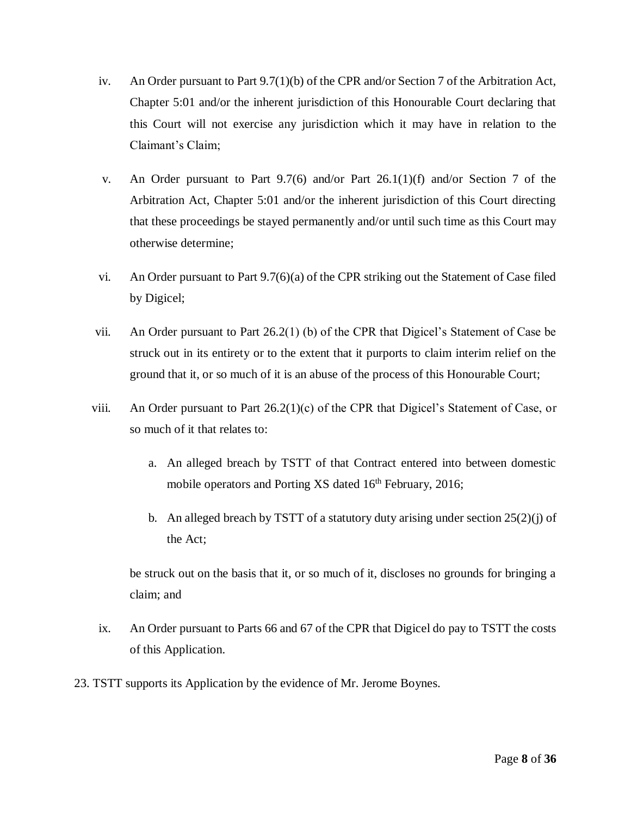- iv. An Order pursuant to Part 9.7(1)(b) of the CPR and/or Section 7 of the Arbitration Act, Chapter 5:01 and/or the inherent jurisdiction of this Honourable Court declaring that this Court will not exercise any jurisdiction which it may have in relation to the Claimant's Claim;
- v. An Order pursuant to Part 9.7(6) and/or Part 26.1(1)(f) and/or Section 7 of the Arbitration Act, Chapter 5:01 and/or the inherent jurisdiction of this Court directing that these proceedings be stayed permanently and/or until such time as this Court may otherwise determine;
- vi. An Order pursuant to Part 9.7(6)(a) of the CPR striking out the Statement of Case filed by Digicel;
- vii. An Order pursuant to Part 26.2(1) (b) of the CPR that Digicel's Statement of Case be struck out in its entirety or to the extent that it purports to claim interim relief on the ground that it, or so much of it is an abuse of the process of this Honourable Court;
- viii. An Order pursuant to Part 26.2(1)(c) of the CPR that Digicel's Statement of Case, or so much of it that relates to:
	- a. An alleged breach by TSTT of that Contract entered into between domestic mobile operators and Porting XS dated 16<sup>th</sup> February, 2016;
	- b. An alleged breach by TSTT of a statutory duty arising under section 25(2)(j) of the Act;

be struck out on the basis that it, or so much of it, discloses no grounds for bringing a claim; and

- ix. An Order pursuant to Parts 66 and 67 of the CPR that Digicel do pay to TSTT the costs of this Application.
- 23. TSTT supports its Application by the evidence of Mr. Jerome Boynes.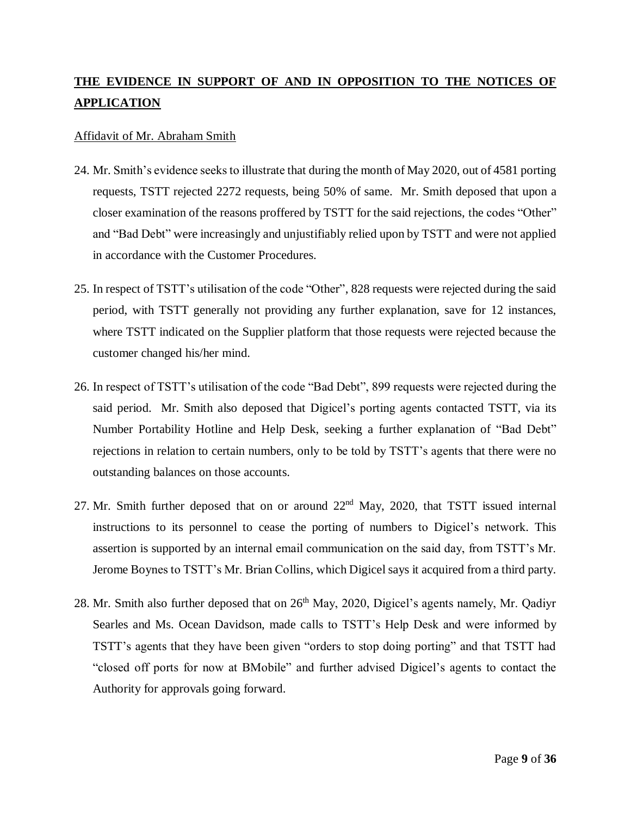## **THE EVIDENCE IN SUPPORT OF AND IN OPPOSITION TO THE NOTICES OF APPLICATION**

### Affidavit of Mr. Abraham Smith

- 24. Mr. Smith's evidence seeks to illustrate that during the month of May 2020, out of 4581 porting requests, TSTT rejected 2272 requests, being 50% of same. Mr. Smith deposed that upon a closer examination of the reasons proffered by TSTT for the said rejections, the codes "Other" and "Bad Debt" were increasingly and unjustifiably relied upon by TSTT and were not applied in accordance with the Customer Procedures.
- 25. In respect of TSTT's utilisation of the code "Other", 828 requests were rejected during the said period, with TSTT generally not providing any further explanation, save for 12 instances, where TSTT indicated on the Supplier platform that those requests were rejected because the customer changed his/her mind.
- 26. In respect of TSTT's utilisation of the code "Bad Debt", 899 requests were rejected during the said period. Mr. Smith also deposed that Digicel's porting agents contacted TSTT, via its Number Portability Hotline and Help Desk, seeking a further explanation of "Bad Debt" rejections in relation to certain numbers, only to be told by TSTT's agents that there were no outstanding balances on those accounts.
- 27. Mr. Smith further deposed that on or around 22<sup>nd</sup> May, 2020, that TSTT issued internal instructions to its personnel to cease the porting of numbers to Digicel's network. This assertion is supported by an internal email communication on the said day, from TSTT's Mr. Jerome Boynes to TSTT's Mr. Brian Collins, which Digicel says it acquired from a third party.
- 28. Mr. Smith also further deposed that on  $26<sup>th</sup>$  May, 2020, Digicel's agents namely, Mr. Qadiyr Searles and Ms. Ocean Davidson, made calls to TSTT's Help Desk and were informed by TSTT's agents that they have been given "orders to stop doing porting" and that TSTT had "closed off ports for now at BMobile" and further advised Digicel's agents to contact the Authority for approvals going forward.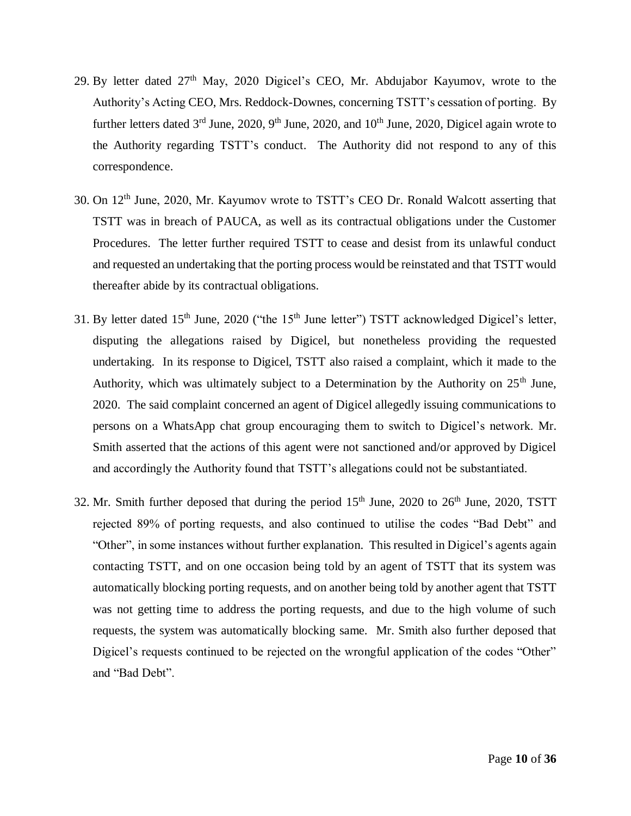- 29. By letter dated  $27<sup>th</sup>$  May, 2020 Digicel's CEO, Mr. Abdujabor Kayumov, wrote to the Authority's Acting CEO, Mrs. Reddock-Downes, concerning TSTT's cessation of porting. By further letters dated  $3<sup>rd</sup>$  June, 2020, 9<sup>th</sup> June, 2020, and 10<sup>th</sup> June, 2020, Digicel again wrote to the Authority regarding TSTT's conduct. The Authority did not respond to any of this correspondence.
- 30. On 12th June, 2020, Mr. Kayumov wrote to TSTT's CEO Dr. Ronald Walcott asserting that TSTT was in breach of PAUCA, as well as its contractual obligations under the Customer Procedures. The letter further required TSTT to cease and desist from its unlawful conduct and requested an undertaking that the porting process would be reinstated and that TSTT would thereafter abide by its contractual obligations.
- 31. By letter dated 15<sup>th</sup> June, 2020 ("the 15<sup>th</sup> June letter") TSTT acknowledged Digicel's letter, disputing the allegations raised by Digicel, but nonetheless providing the requested undertaking. In its response to Digicel, TSTT also raised a complaint, which it made to the Authority, which was ultimately subject to a Determination by the Authority on  $25<sup>th</sup>$  June, 2020. The said complaint concerned an agent of Digicel allegedly issuing communications to persons on a WhatsApp chat group encouraging them to switch to Digicel's network. Mr. Smith asserted that the actions of this agent were not sanctioned and/or approved by Digicel and accordingly the Authority found that TSTT's allegations could not be substantiated.
- 32. Mr. Smith further deposed that during the period  $15<sup>th</sup>$  June, 2020 to  $26<sup>th</sup>$  June, 2020, TSTT rejected 89% of porting requests, and also continued to utilise the codes "Bad Debt" and "Other", in some instances without further explanation. This resulted in Digicel's agents again contacting TSTT, and on one occasion being told by an agent of TSTT that its system was automatically blocking porting requests, and on another being told by another agent that TSTT was not getting time to address the porting requests, and due to the high volume of such requests, the system was automatically blocking same. Mr. Smith also further deposed that Digicel's requests continued to be rejected on the wrongful application of the codes "Other" and "Bad Debt".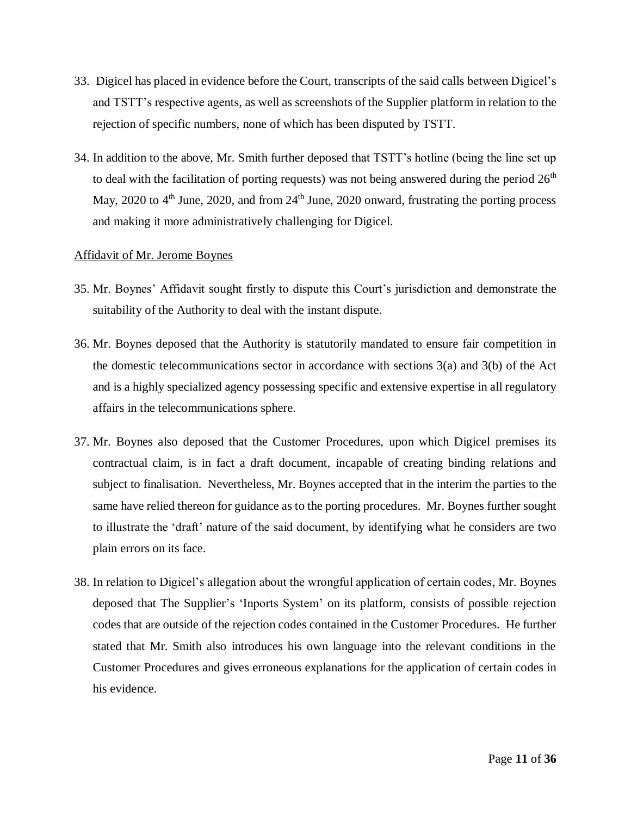- 33. Digicel has placed in evidence before the Court, transcripts of the said calls between Digicel's and TSTT's respective agents, as well as screenshots of the Supplier platform in relation to the rejection of specific numbers, none of which has been disputed by TSTT.
- 34. In addition to the above, Mr. Smith further deposed that TSTT's hotline (being the line set up to deal with the facilitation of porting requests) was not being answered during the period  $26<sup>th</sup>$ May, 2020 to  $4<sup>th</sup>$  June, 2020, and from  $24<sup>th</sup>$  June, 2020 onward, frustrating the porting process and making it more administratively challenging for Digicel.

#### Affidavit of Mr. Jerome Boynes

- 35. Mr. Boynes' Affidavit sought firstly to dispute this Court's jurisdiction and demonstrate the suitability of the Authority to deal with the instant dispute.
- 36. Mr. Boynes deposed that the Authority is statutorily mandated to ensure fair competition in the domestic telecommunications sector in accordance with sections 3(a) and 3(b) of the Act and is a highly specialized agency possessing specific and extensive expertise in all regulatory affairs in the telecommunications sphere.
- 37. Mr. Boynes also deposed that the Customer Procedures, upon which Digicel premises its contractual claim, is in fact a draft document, incapable of creating binding relations and subject to finalisation. Nevertheless, Mr. Boynes accepted that in the interim the parties to the same have relied thereon for guidance as to the porting procedures. Mr. Boynes further sought to illustrate the 'draft' nature of the said document, by identifying what he considers are two plain errors on its face.
- 38. In relation to Digicel's allegation about the wrongful application of certain codes, Mr. Boynes deposed that The Supplier's 'Inports System' on its platform, consists of possible rejection codes that are outside of the rejection codes contained in the Customer Procedures. He further stated that Mr. Smith also introduces his own language into the relevant conditions in the Customer Procedures and gives erroneous explanations for the application of certain codes in his evidence.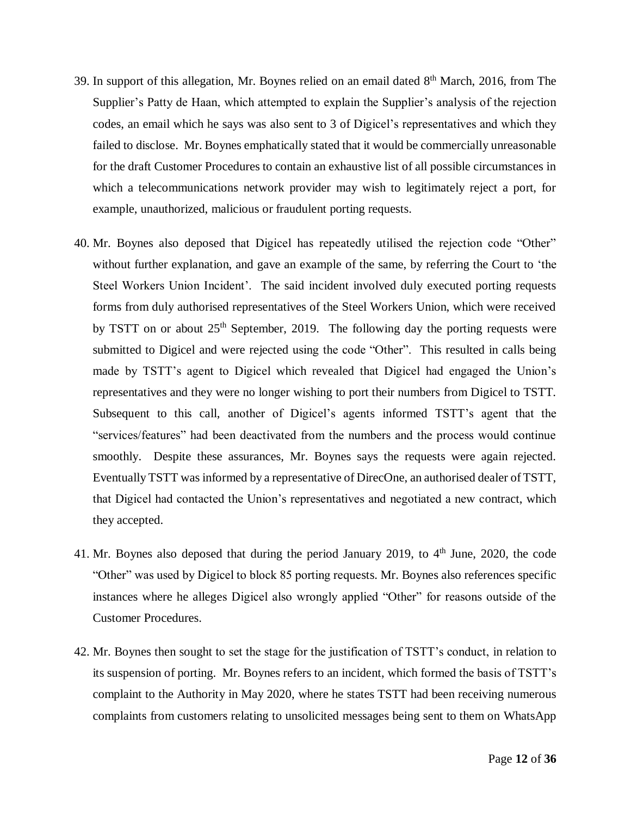- 39. In support of this allegation, Mr. Boynes relied on an email dated  $8<sup>th</sup>$  March, 2016, from The Supplier's Patty de Haan, which attempted to explain the Supplier's analysis of the rejection codes, an email which he says was also sent to 3 of Digicel's representatives and which they failed to disclose. Mr. Boynes emphatically stated that it would be commercially unreasonable for the draft Customer Procedures to contain an exhaustive list of all possible circumstances in which a telecommunications network provider may wish to legitimately reject a port, for example, unauthorized, malicious or fraudulent porting requests.
- 40. Mr. Boynes also deposed that Digicel has repeatedly utilised the rejection code "Other" without further explanation, and gave an example of the same, by referring the Court to 'the Steel Workers Union Incident'. The said incident involved duly executed porting requests forms from duly authorised representatives of the Steel Workers Union, which were received by TSTT on or about  $25<sup>th</sup>$  September, 2019. The following day the porting requests were submitted to Digicel and were rejected using the code "Other". This resulted in calls being made by TSTT's agent to Digicel which revealed that Digicel had engaged the Union's representatives and they were no longer wishing to port their numbers from Digicel to TSTT. Subsequent to this call, another of Digicel's agents informed TSTT's agent that the "services/features" had been deactivated from the numbers and the process would continue smoothly. Despite these assurances, Mr. Boynes says the requests were again rejected. Eventually TSTT was informed by a representative of DirecOne, an authorised dealer of TSTT, that Digicel had contacted the Union's representatives and negotiated a new contract, which they accepted.
- 41. Mr. Boynes also deposed that during the period January 2019, to  $4<sup>th</sup>$  June, 2020, the code "Other" was used by Digicel to block 85 porting requests. Mr. Boynes also references specific instances where he alleges Digicel also wrongly applied "Other" for reasons outside of the Customer Procedures.
- 42. Mr. Boynes then sought to set the stage for the justification of TSTT's conduct, in relation to its suspension of porting. Mr. Boynes refers to an incident, which formed the basis of TSTT's complaint to the Authority in May 2020, where he states TSTT had been receiving numerous complaints from customers relating to unsolicited messages being sent to them on WhatsApp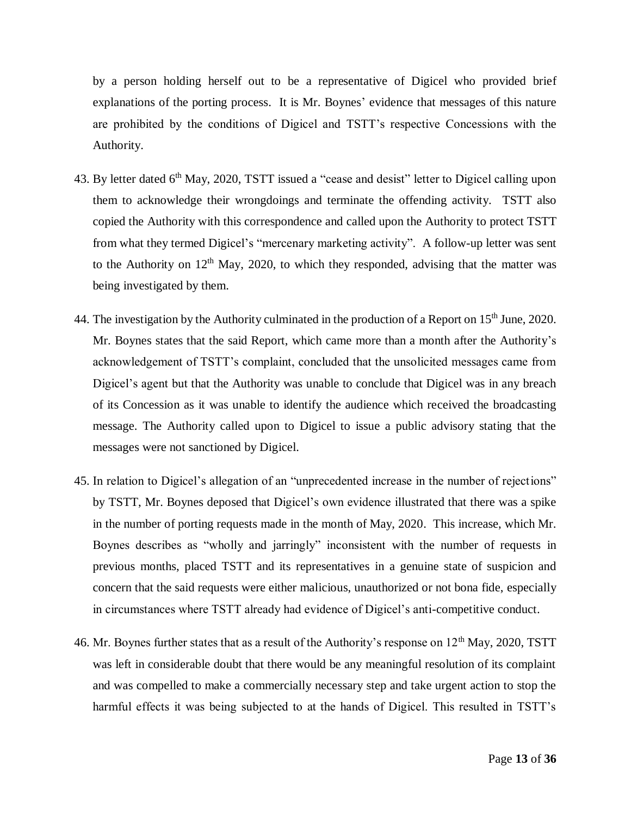by a person holding herself out to be a representative of Digicel who provided brief explanations of the porting process. It is Mr. Boynes' evidence that messages of this nature are prohibited by the conditions of Digicel and TSTT's respective Concessions with the Authority.

- 43. By letter dated 6<sup>th</sup> May, 2020, TSTT issued a "cease and desist" letter to Digicel calling upon them to acknowledge their wrongdoings and terminate the offending activity. TSTT also copied the Authority with this correspondence and called upon the Authority to protect TSTT from what they termed Digicel's "mercenary marketing activity". A follow-up letter was sent to the Authority on  $12<sup>th</sup>$  May, 2020, to which they responded, advising that the matter was being investigated by them.
- 44. The investigation by the Authority culminated in the production of a Report on 15<sup>th</sup> June, 2020. Mr. Boynes states that the said Report, which came more than a month after the Authority's acknowledgement of TSTT's complaint, concluded that the unsolicited messages came from Digicel's agent but that the Authority was unable to conclude that Digicel was in any breach of its Concession as it was unable to identify the audience which received the broadcasting message. The Authority called upon to Digicel to issue a public advisory stating that the messages were not sanctioned by Digicel.
- 45. In relation to Digicel's allegation of an "unprecedented increase in the number of rejections" by TSTT, Mr. Boynes deposed that Digicel's own evidence illustrated that there was a spike in the number of porting requests made in the month of May, 2020. This increase, which Mr. Boynes describes as "wholly and jarringly" inconsistent with the number of requests in previous months, placed TSTT and its representatives in a genuine state of suspicion and concern that the said requests were either malicious, unauthorized or not bona fide, especially in circumstances where TSTT already had evidence of Digicel's anti-competitive conduct.
- 46. Mr. Boynes further states that as a result of the Authority's response on  $12<sup>th</sup>$  May, 2020, TSTT was left in considerable doubt that there would be any meaningful resolution of its complaint and was compelled to make a commercially necessary step and take urgent action to stop the harmful effects it was being subjected to at the hands of Digicel. This resulted in TSTT's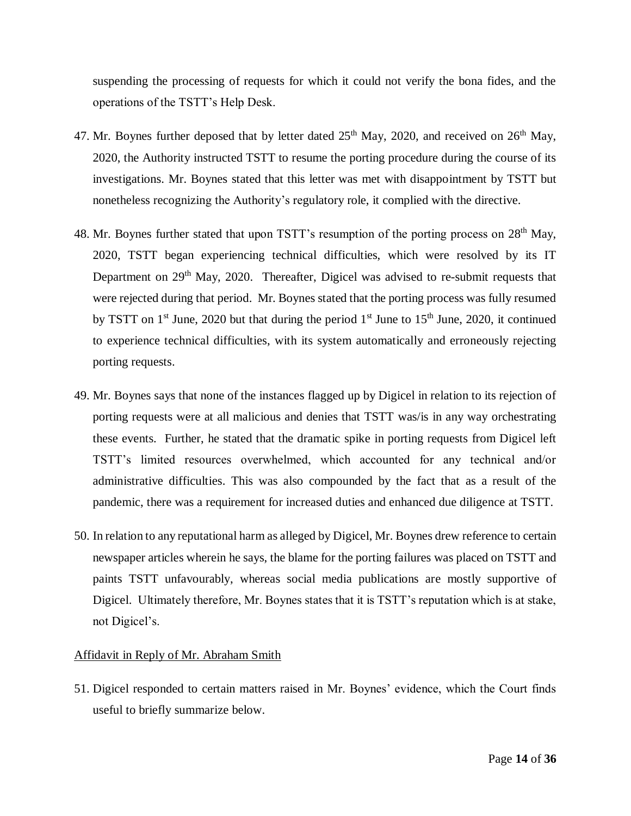suspending the processing of requests for which it could not verify the bona fides, and the operations of the TSTT's Help Desk.

- 47. Mr. Boynes further deposed that by letter dated  $25<sup>th</sup>$  May, 2020, and received on  $26<sup>th</sup>$  May, 2020, the Authority instructed TSTT to resume the porting procedure during the course of its investigations. Mr. Boynes stated that this letter was met with disappointment by TSTT but nonetheless recognizing the Authority's regulatory role, it complied with the directive.
- 48. Mr. Boynes further stated that upon TSTT's resumption of the porting process on  $28<sup>th</sup>$  May, 2020, TSTT began experiencing technical difficulties, which were resolved by its IT Department on 29<sup>th</sup> May, 2020. Thereafter, Digicel was advised to re-submit requests that were rejected during that period. Mr. Boynes stated that the porting process was fully resumed by TSTT on 1<sup>st</sup> June, 2020 but that during the period 1<sup>st</sup> June to 15<sup>th</sup> June, 2020, it continued to experience technical difficulties, with its system automatically and erroneously rejecting porting requests.
- 49. Mr. Boynes says that none of the instances flagged up by Digicel in relation to its rejection of porting requests were at all malicious and denies that TSTT was/is in any way orchestrating these events. Further, he stated that the dramatic spike in porting requests from Digicel left TSTT's limited resources overwhelmed, which accounted for any technical and/or administrative difficulties. This was also compounded by the fact that as a result of the pandemic, there was a requirement for increased duties and enhanced due diligence at TSTT.
- 50. In relation to any reputational harm as alleged by Digicel, Mr. Boynes drew reference to certain newspaper articles wherein he says, the blame for the porting failures was placed on TSTT and paints TSTT unfavourably, whereas social media publications are mostly supportive of Digicel. Ultimately therefore, Mr. Boynes states that it is TSTT's reputation which is at stake, not Digicel's.

#### Affidavit in Reply of Mr. Abraham Smith

51. Digicel responded to certain matters raised in Mr. Boynes' evidence, which the Court finds useful to briefly summarize below.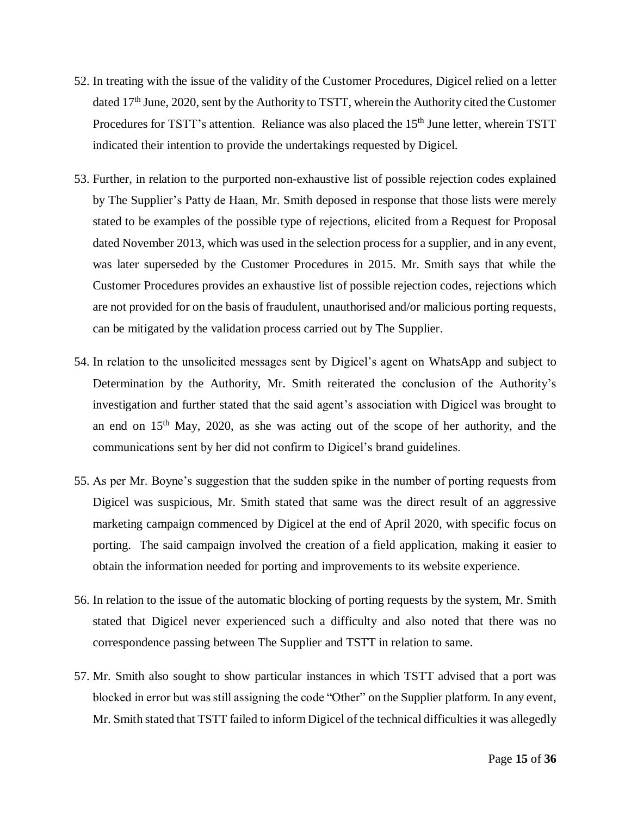- 52. In treating with the issue of the validity of the Customer Procedures, Digicel relied on a letter dated 17<sup>th</sup> June, 2020, sent by the Authority to TSTT, wherein the Authority cited the Customer Procedures for TSTT's attention. Reliance was also placed the 15<sup>th</sup> June letter, wherein TSTT indicated their intention to provide the undertakings requested by Digicel.
- 53. Further, in relation to the purported non-exhaustive list of possible rejection codes explained by The Supplier's Patty de Haan, Mr. Smith deposed in response that those lists were merely stated to be examples of the possible type of rejections, elicited from a Request for Proposal dated November 2013, which was used in the selection process for a supplier, and in any event, was later superseded by the Customer Procedures in 2015. Mr. Smith says that while the Customer Procedures provides an exhaustive list of possible rejection codes, rejections which are not provided for on the basis of fraudulent, unauthorised and/or malicious porting requests, can be mitigated by the validation process carried out by The Supplier.
- 54. In relation to the unsolicited messages sent by Digicel's agent on WhatsApp and subject to Determination by the Authority, Mr. Smith reiterated the conclusion of the Authority's investigation and further stated that the said agent's association with Digicel was brought to an end on  $15<sup>th</sup>$  May, 2020, as she was acting out of the scope of her authority, and the communications sent by her did not confirm to Digicel's brand guidelines.
- 55. As per Mr. Boyne's suggestion that the sudden spike in the number of porting requests from Digicel was suspicious, Mr. Smith stated that same was the direct result of an aggressive marketing campaign commenced by Digicel at the end of April 2020, with specific focus on porting. The said campaign involved the creation of a field application, making it easier to obtain the information needed for porting and improvements to its website experience.
- 56. In relation to the issue of the automatic blocking of porting requests by the system, Mr. Smith stated that Digicel never experienced such a difficulty and also noted that there was no correspondence passing between The Supplier and TSTT in relation to same.
- 57. Mr. Smith also sought to show particular instances in which TSTT advised that a port was blocked in error but was still assigning the code "Other" on the Supplier platform. In any event, Mr. Smith stated that TSTT failed to inform Digicel of the technical difficulties it was allegedly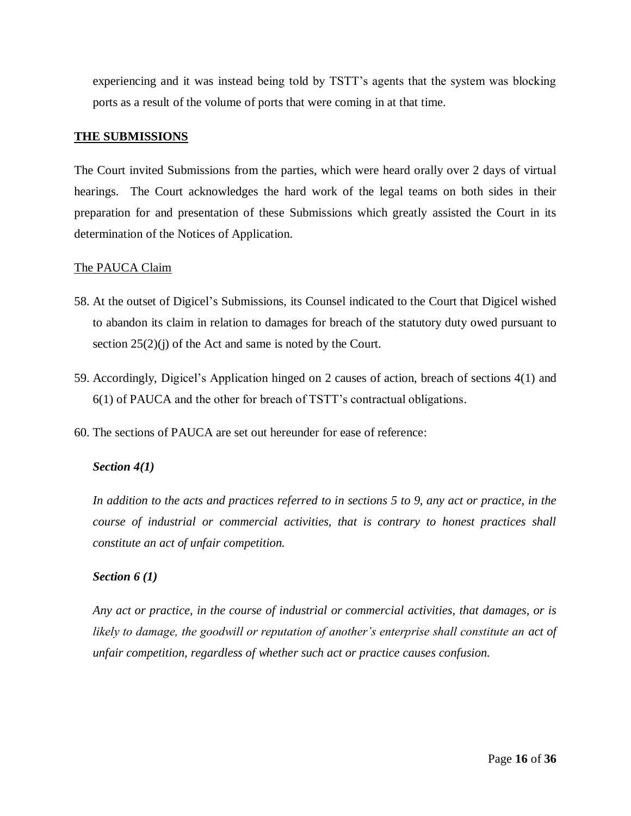experiencing and it was instead being told by TSTT's agents that the system was blocking ports as a result of the volume of ports that were coming in at that time.

## **THE SUBMISSIONS**

The Court invited Submissions from the parties, which were heard orally over 2 days of virtual hearings. The Court acknowledges the hard work of the legal teams on both sides in their preparation for and presentation of these Submissions which greatly assisted the Court in its determination of the Notices of Application.

## The PAUCA Claim

- 58. At the outset of Digicel's Submissions, its Counsel indicated to the Court that Digicel wished to abandon its claim in relation to damages for breach of the statutory duty owed pursuant to section  $25(2)(j)$  of the Act and same is noted by the Court.
- 59. Accordingly, Digicel's Application hinged on 2 causes of action, breach of sections 4(1) and 6(1) of PAUCA and the other for breach of TSTT's contractual obligations.
- 60. The sections of PAUCA are set out hereunder for ease of reference:

## *Section 4(1)*

In addition to the acts and practices referred to in sections 5 to 9, any act or practice, in the *course of industrial or commercial activities, that is contrary to honest practices shall constitute an act of unfair competition.*

## *Section 6 (1)*

*Any act or practice, in the course of industrial or commercial activities, that damages, or is likely to damage, the goodwill or reputation of another's enterprise shall constitute an act of unfair competition, regardless of whether such act or practice causes confusion.*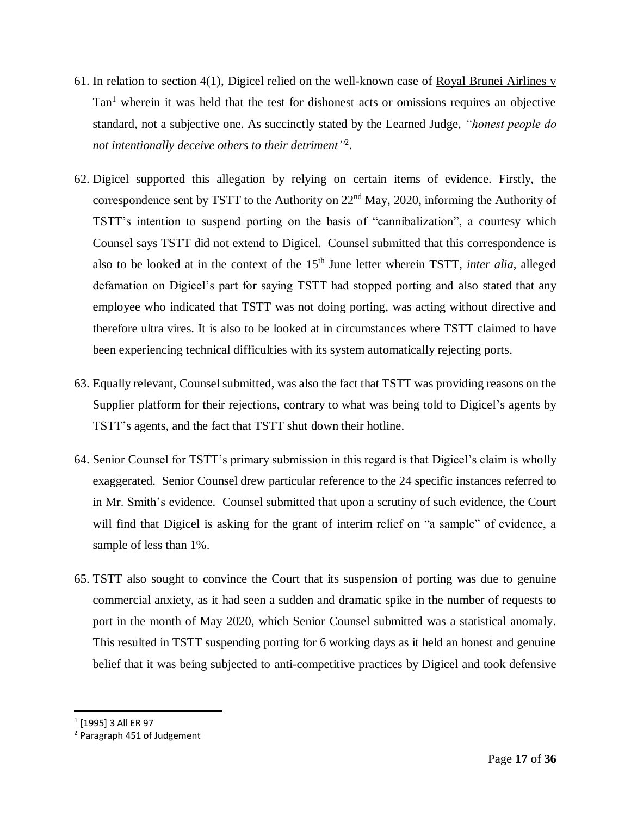- 61. In relation to section 4(1), Digicel relied on the well-known case of Royal Brunei Airlines v Tan<sup>1</sup> wherein it was held that the test for dishonest acts or omissions requires an objective standard, not a subjective one. As succinctly stated by the Learned Judge, *"honest people do not intentionally deceive others to their detriment"* 2 .
- 62. Digicel supported this allegation by relying on certain items of evidence. Firstly, the correspondence sent by TSTT to the Authority on  $22<sup>nd</sup>$  May, 2020, informing the Authority of TSTT's intention to suspend porting on the basis of "cannibalization", a courtesy which Counsel says TSTT did not extend to Digicel. Counsel submitted that this correspondence is also to be looked at in the context of the 15<sup>th</sup> June letter wherein TSTT, *inter alia*, alleged defamation on Digicel's part for saying TSTT had stopped porting and also stated that any employee who indicated that TSTT was not doing porting, was acting without directive and therefore ultra vires. It is also to be looked at in circumstances where TSTT claimed to have been experiencing technical difficulties with its system automatically rejecting ports.
- 63. Equally relevant, Counsel submitted, was also the fact that TSTT was providing reasons on the Supplier platform for their rejections, contrary to what was being told to Digicel's agents by TSTT's agents, and the fact that TSTT shut down their hotline.
- 64. Senior Counsel for TSTT's primary submission in this regard is that Digicel's claim is wholly exaggerated. Senior Counsel drew particular reference to the 24 specific instances referred to in Mr. Smith's evidence. Counsel submitted that upon a scrutiny of such evidence, the Court will find that Digicel is asking for the grant of interim relief on "a sample" of evidence, a sample of less than 1%.
- 65. TSTT also sought to convince the Court that its suspension of porting was due to genuine commercial anxiety, as it had seen a sudden and dramatic spike in the number of requests to port in the month of May 2020, which Senior Counsel submitted was a statistical anomaly. This resulted in TSTT suspending porting for 6 working days as it held an honest and genuine belief that it was being subjected to anti-competitive practices by Digicel and took defensive

 $\overline{a}$ 

<sup>1</sup> [1995] 3 All ER 97

<sup>2</sup> Paragraph 451 of Judgement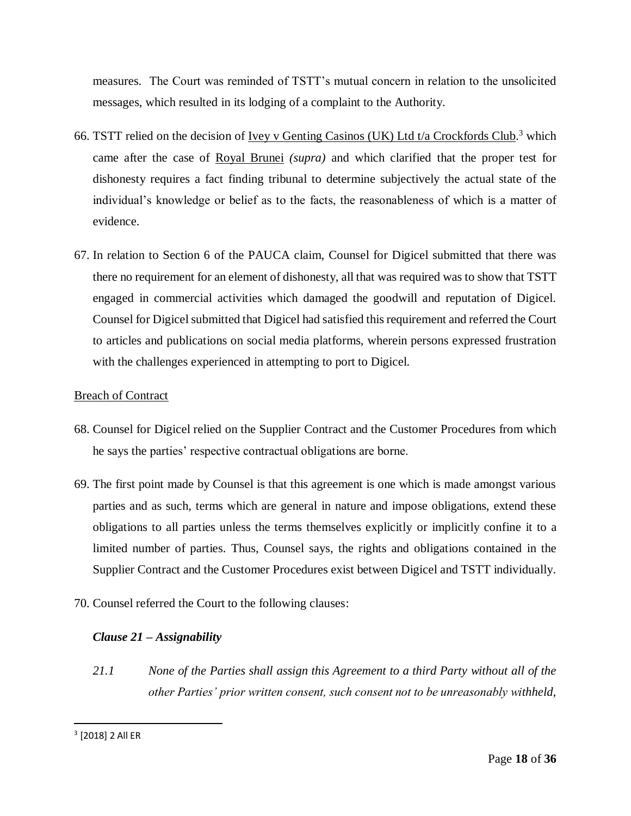measures. The Court was reminded of TSTT's mutual concern in relation to the unsolicited messages, which resulted in its lodging of a complaint to the Authority.

- 66. TSTT relied on the decision of <u>Ivey v Genting Casinos (UK) Ltd t/a Crockfords Club</u>.<sup>3</sup> which came after the case of Royal Brunei *(supra)* and which clarified that the proper test for dishonesty requires a fact finding tribunal to determine subjectively the actual state of the individual's knowledge or belief as to the facts, the reasonableness of which is a matter of evidence.
- 67. In relation to Section 6 of the PAUCA claim, Counsel for Digicel submitted that there was there no requirement for an element of dishonesty, all that was required was to show that TSTT engaged in commercial activities which damaged the goodwill and reputation of Digicel. Counsel for Digicel submitted that Digicel had satisfied this requirement and referred the Court to articles and publications on social media platforms, wherein persons expressed frustration with the challenges experienced in attempting to port to Digicel.

## Breach of Contract

- 68. Counsel for Digicel relied on the Supplier Contract and the Customer Procedures from which he says the parties' respective contractual obligations are borne.
- 69. The first point made by Counsel is that this agreement is one which is made amongst various parties and as such, terms which are general in nature and impose obligations, extend these obligations to all parties unless the terms themselves explicitly or implicitly confine it to a limited number of parties. Thus, Counsel says, the rights and obligations contained in the Supplier Contract and the Customer Procedures exist between Digicel and TSTT individually.
- 70. Counsel referred the Court to the following clauses:

## *Clause 21 – Assignability*

*21.1 None of the Parties shall assign this Agreement to a third Party without all of the other Parties' prior written consent, such consent not to be unreasonably withheld,* 

 $\overline{\phantom{a}}$ 

<sup>3</sup> [2018] 2 All ER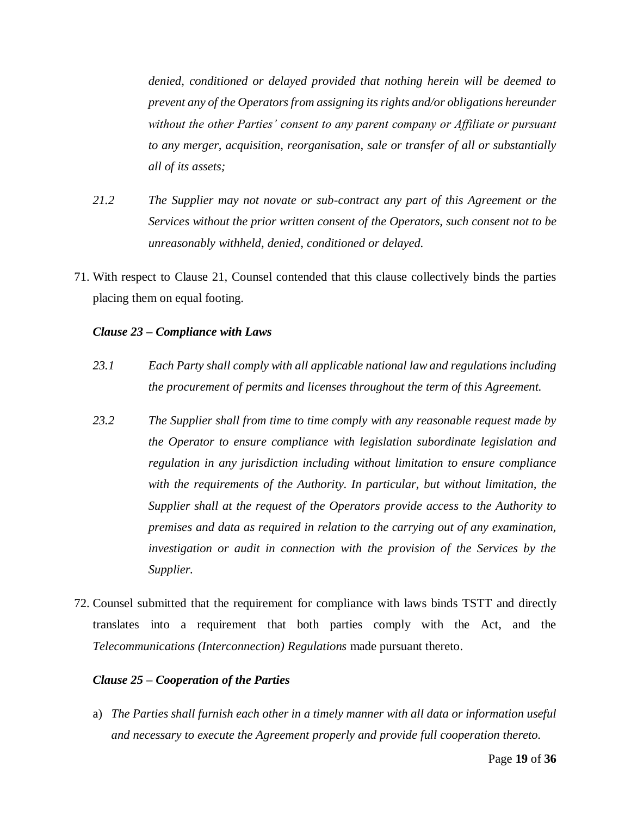*denied, conditioned or delayed provided that nothing herein will be deemed to prevent any of the Operators from assigning its rights and/or obligations hereunder without the other Parties' consent to any parent company or Affiliate or pursuant to any merger, acquisition, reorganisation, sale or transfer of all or substantially all of its assets;*

- *21.2 The Supplier may not novate or sub-contract any part of this Agreement or the Services without the prior written consent of the Operators, such consent not to be unreasonably withheld, denied, conditioned or delayed.*
- 71. With respect to Clause 21, Counsel contended that this clause collectively binds the parties placing them on equal footing.

#### *Clause 23 – Compliance with Laws*

- *23.1 Each Party shall comply with all applicable national law and regulations including the procurement of permits and licenses throughout the term of this Agreement.*
- *23.2 The Supplier shall from time to time comply with any reasonable request made by the Operator to ensure compliance with legislation subordinate legislation and regulation in any jurisdiction including without limitation to ensure compliance with the requirements of the Authority. In particular, but without limitation, the Supplier shall at the request of the Operators provide access to the Authority to premises and data as required in relation to the carrying out of any examination, investigation or audit in connection with the provision of the Services by the Supplier.*
- 72. Counsel submitted that the requirement for compliance with laws binds TSTT and directly translates into a requirement that both parties comply with the Act, and the *Telecommunications (Interconnection) Regulations* made pursuant thereto.

#### *Clause 25 – Cooperation of the Parties*

a) *The Parties shall furnish each other in a timely manner with all data or information useful and necessary to execute the Agreement properly and provide full cooperation thereto.*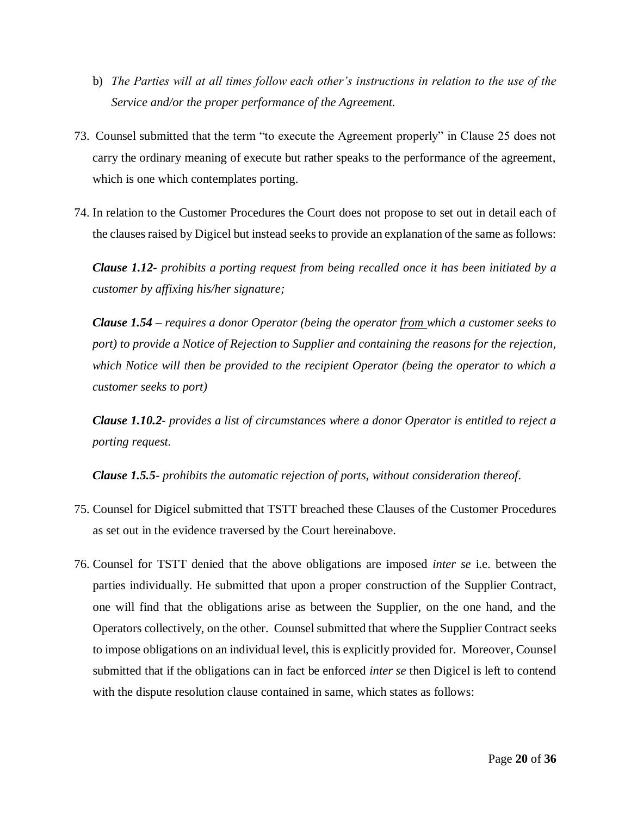- b) *The Parties will at all times follow each other's instructions in relation to the use of the Service and/or the proper performance of the Agreement.*
- 73. Counsel submitted that the term "to execute the Agreement properly" in Clause 25 does not carry the ordinary meaning of execute but rather speaks to the performance of the agreement, which is one which contemplates porting.
- 74. In relation to the Customer Procedures the Court does not propose to set out in detail each of the clauses raised by Digicel but instead seeks to provide an explanation of the same as follows:

*Clause 1.12- prohibits a porting request from being recalled once it has been initiated by a customer by affixing his/her signature;*

*Clause 1.54 – requires a donor Operator (being the operator from which a customer seeks to port) to provide a Notice of Rejection to Supplier and containing the reasons for the rejection, which Notice will then be provided to the recipient Operator (being the operator to which a customer seeks to port)*

*Clause 1.10.2- provides a list of circumstances where a donor Operator is entitled to reject a porting request.*

*Clause 1.5.5- prohibits the automatic rejection of ports, without consideration thereof.*

- 75. Counsel for Digicel submitted that TSTT breached these Clauses of the Customer Procedures as set out in the evidence traversed by the Court hereinabove.
- 76. Counsel for TSTT denied that the above obligations are imposed *inter se* i.e. between the parties individually. He submitted that upon a proper construction of the Supplier Contract, one will find that the obligations arise as between the Supplier, on the one hand, and the Operators collectively, on the other. Counsel submitted that where the Supplier Contract seeks to impose obligations on an individual level, this is explicitly provided for. Moreover, Counsel submitted that if the obligations can in fact be enforced *inter se* then Digicel is left to contend with the dispute resolution clause contained in same, which states as follows: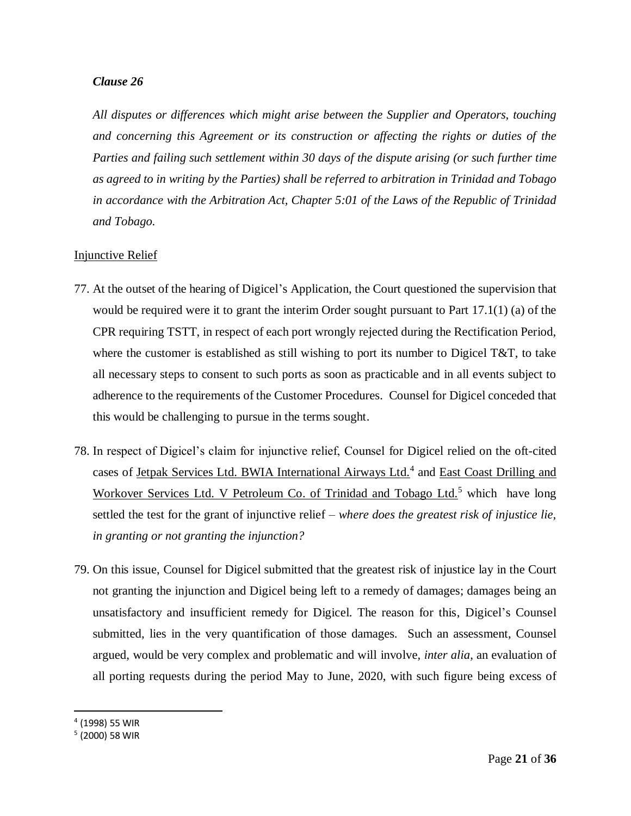## *Clause 26*

*All disputes or differences which might arise between the Supplier and Operators, touching and concerning this Agreement or its construction or affecting the rights or duties of the Parties and failing such settlement within 30 days of the dispute arising (or such further time as agreed to in writing by the Parties) shall be referred to arbitration in Trinidad and Tobago in accordance with the Arbitration Act, Chapter 5:01 of the Laws of the Republic of Trinidad and Tobago.*

## Injunctive Relief

- 77. At the outset of the hearing of Digicel's Application, the Court questioned the supervision that would be required were it to grant the interim Order sought pursuant to Part 17.1(1) (a) of the CPR requiring TSTT, in respect of each port wrongly rejected during the Rectification Period, where the customer is established as still wishing to port its number to Digicel T&T, to take all necessary steps to consent to such ports as soon as practicable and in all events subject to adherence to the requirements of the Customer Procedures. Counsel for Digicel conceded that this would be challenging to pursue in the terms sought.
- 78. In respect of Digicel's claim for injunctive relief, Counsel for Digicel relied on the oft-cited cases of Jetpak Services Ltd. BWIA International Airways Ltd.<sup>4</sup> and East Coast Drilling and Workover Services Ltd. V Petroleum Co. of Trinidad and Tobago Ltd.<sup>5</sup> which have long settled the test for the grant of injunctive relief – *where does the greatest risk of injustice lie, in granting or not granting the injunction?*
- 79. On this issue, Counsel for Digicel submitted that the greatest risk of injustice lay in the Court not granting the injunction and Digicel being left to a remedy of damages; damages being an unsatisfactory and insufficient remedy for Digicel. The reason for this, Digicel's Counsel submitted, lies in the very quantification of those damages. Such an assessment, Counsel argued, would be very complex and problematic and will involve, *inter alia*, an evaluation of all porting requests during the period May to June, 2020, with such figure being excess of

 $\overline{a}$ 

<sup>4</sup> (1998) 55 WIR

<sup>5</sup> (2000) 58 WIR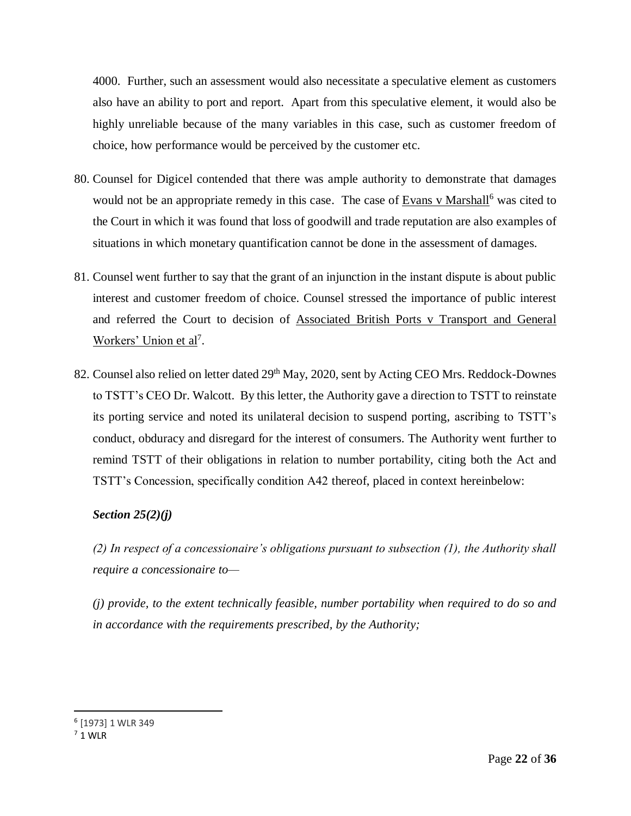4000. Further, such an assessment would also necessitate a speculative element as customers also have an ability to port and report. Apart from this speculative element, it would also be highly unreliable because of the many variables in this case, such as customer freedom of choice, how performance would be perceived by the customer etc.

- 80. Counsel for Digicel contended that there was ample authority to demonstrate that damages would not be an appropriate remedy in this case. The case of Evans v Marshall<sup>6</sup> was cited to the Court in which it was found that loss of goodwill and trade reputation are also examples of situations in which monetary quantification cannot be done in the assessment of damages.
- 81. Counsel went further to say that the grant of an injunction in the instant dispute is about public interest and customer freedom of choice. Counsel stressed the importance of public interest and referred the Court to decision of Associated British Ports v Transport and General Workers' Union et al<sup>7</sup>.
- 82. Counsel also relied on letter dated 29<sup>th</sup> May, 2020, sent by Acting CEO Mrs. Reddock-Downes to TSTT's CEO Dr. Walcott. By this letter, the Authority gave a direction to TSTT to reinstate its porting service and noted its unilateral decision to suspend porting, ascribing to TSTT's conduct, obduracy and disregard for the interest of consumers. The Authority went further to remind TSTT of their obligations in relation to number portability, citing both the Act and TSTT's Concession, specifically condition A42 thereof, placed in context hereinbelow:

## *Section 25(2)(j)*

*(2) In respect of a concessionaire's obligations pursuant to subsection (1), the Authority shall require a concessionaire to—*

*(j) provide, to the extent technically feasible, number portability when required to do so and in accordance with the requirements prescribed, by the Authority;*

 $\overline{a}$ 

<sup>6</sup> [1973] 1 WLR 349

 $7$  1 WIR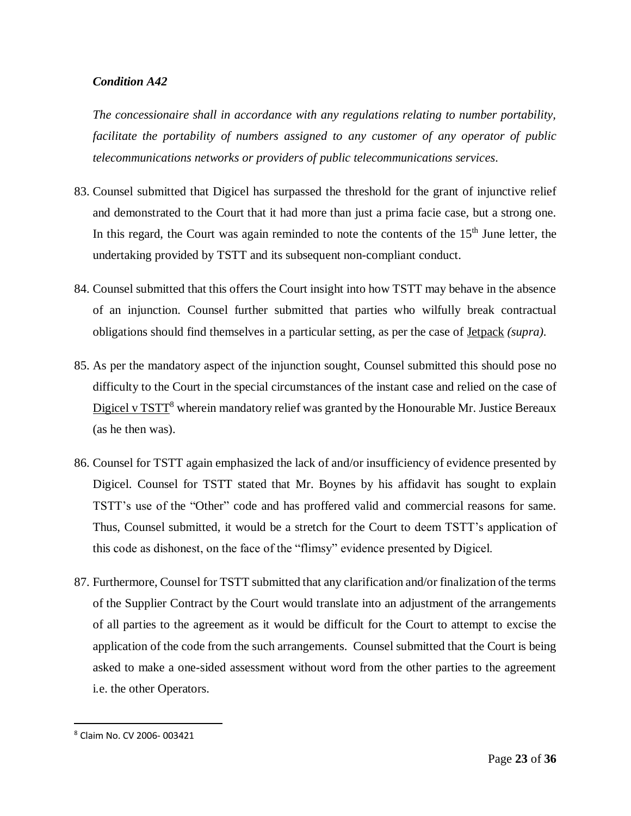## *Condition A42*

*The concessionaire shall in accordance with any regulations relating to number portability, facilitate the portability of numbers assigned to any customer of any operator of public telecommunications networks or providers of public telecommunications services.*

- 83. Counsel submitted that Digicel has surpassed the threshold for the grant of injunctive relief and demonstrated to the Court that it had more than just a prima facie case, but a strong one. In this regard, the Court was again reminded to note the contents of the  $15<sup>th</sup>$  June letter, the undertaking provided by TSTT and its subsequent non-compliant conduct.
- 84. Counsel submitted that this offers the Court insight into how TSTT may behave in the absence of an injunction. Counsel further submitted that parties who wilfully break contractual obligations should find themselves in a particular setting, as per the case of Jetpack *(supra).*
- 85. As per the mandatory aspect of the injunction sought, Counsel submitted this should pose no difficulty to the Court in the special circumstances of the instant case and relied on the case of Digicel v TSTT<sup>8</sup> wherein mandatory relief was granted by the Honourable Mr. Justice Bereaux (as he then was).
- 86. Counsel for TSTT again emphasized the lack of and/or insufficiency of evidence presented by Digicel. Counsel for TSTT stated that Mr. Boynes by his affidavit has sought to explain TSTT's use of the "Other" code and has proffered valid and commercial reasons for same. Thus, Counsel submitted, it would be a stretch for the Court to deem TSTT's application of this code as dishonest, on the face of the "flimsy" evidence presented by Digicel.
- 87. Furthermore, Counsel for TSTT submitted that any clarification and/or finalization of the terms of the Supplier Contract by the Court would translate into an adjustment of the arrangements of all parties to the agreement as it would be difficult for the Court to attempt to excise the application of the code from the such arrangements. Counsel submitted that the Court is being asked to make a one-sided assessment without word from the other parties to the agreement i.e. the other Operators.

 $\overline{\phantom{a}}$ 

<sup>8</sup> Claim No. CV 2006- 003421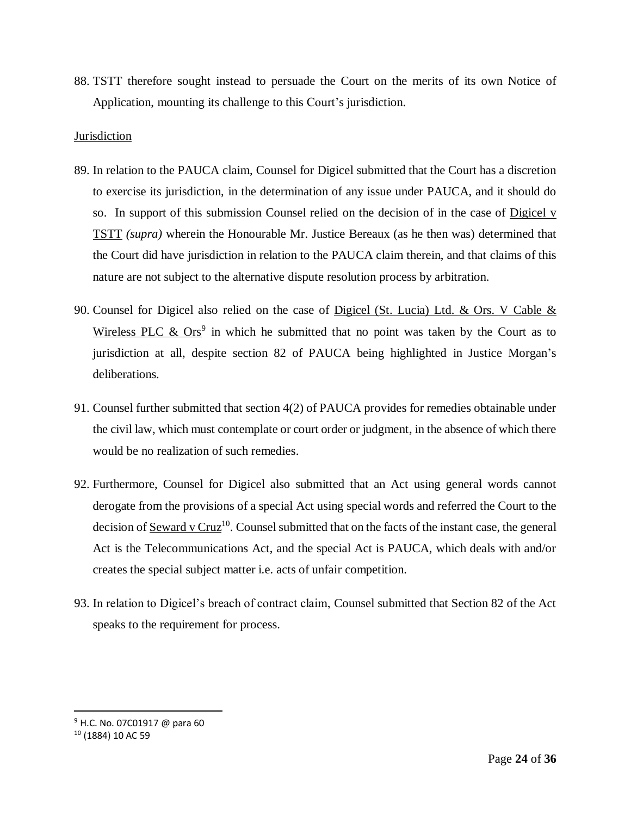88. TSTT therefore sought instead to persuade the Court on the merits of its own Notice of Application, mounting its challenge to this Court's jurisdiction.

## Jurisdiction

- 89. In relation to the PAUCA claim, Counsel for Digicel submitted that the Court has a discretion to exercise its jurisdiction, in the determination of any issue under PAUCA, and it should do so. In support of this submission Counsel relied on the decision of in the case of Digicel v TSTT *(supra)* wherein the Honourable Mr. Justice Bereaux (as he then was) determined that the Court did have jurisdiction in relation to the PAUCA claim therein, and that claims of this nature are not subject to the alternative dispute resolution process by arbitration.
- 90. Counsel for Digicel also relied on the case of Digicel (St. Lucia) Ltd. & Ors. V Cable & Wireless PLC  $\&$  Ors<sup>9</sup> in which he submitted that no point was taken by the Court as to jurisdiction at all, despite section 82 of PAUCA being highlighted in Justice Morgan's deliberations.
- 91. Counsel further submitted that section 4(2) of PAUCA provides for remedies obtainable under the civil law, which must contemplate or court order or judgment, in the absence of which there would be no realization of such remedies.
- 92. Furthermore, Counsel for Digicel also submitted that an Act using general words cannot derogate from the provisions of a special Act using special words and referred the Court to the decision of Seward v Cruz<sup>10</sup>. Counsel submitted that on the facts of the instant case, the general Act is the Telecommunications Act, and the special Act is PAUCA, which deals with and/or creates the special subject matter i.e. acts of unfair competition.
- 93. In relation to Digicel's breach of contract claim, Counsel submitted that Section 82 of the Act speaks to the requirement for process.

 $\overline{a}$ 

<sup>9</sup> H.C. No. 07C01917 @ para 60

<sup>10</sup> (1884) 10 AC 59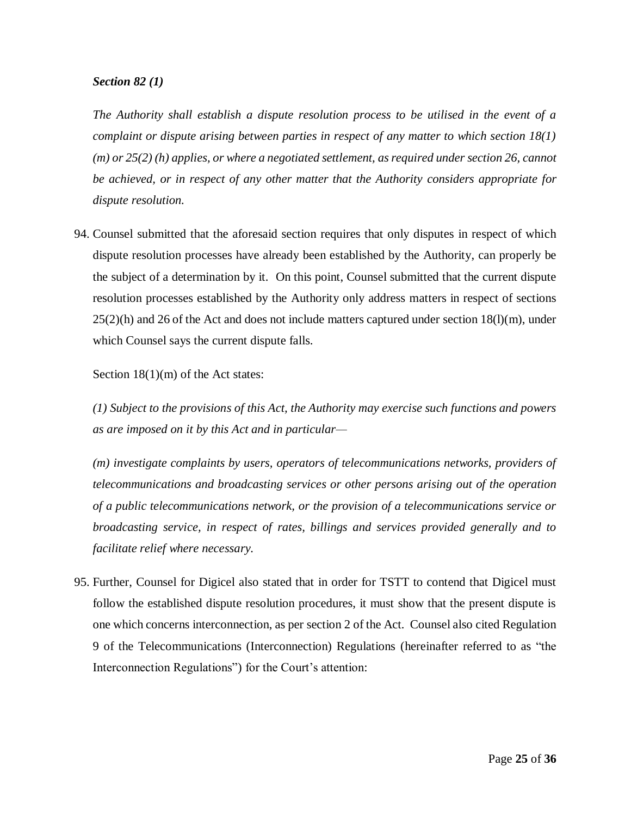## *Section 82 (1)*

*The Authority shall establish a dispute resolution process to be utilised in the event of a complaint or dispute arising between parties in respect of any matter to which section 18(1) (m) or 25(2) (h) applies, or where a negotiated settlement, as required under section 26, cannot be achieved, or in respect of any other matter that the Authority considers appropriate for dispute resolution.*

94. Counsel submitted that the aforesaid section requires that only disputes in respect of which dispute resolution processes have already been established by the Authority, can properly be the subject of a determination by it. On this point, Counsel submitted that the current dispute resolution processes established by the Authority only address matters in respect of sections  $25(2)(h)$  and 26 of the Act and does not include matters captured under section 18(l)(m), under which Counsel says the current dispute falls.

Section 18(1)(m) of the Act states:

*(1) Subject to the provisions of this Act, the Authority may exercise such functions and powers as are imposed on it by this Act and in particular—*

*(m) investigate complaints by users, operators of telecommunications networks, providers of telecommunications and broadcasting services or other persons arising out of the operation of a public telecommunications network, or the provision of a telecommunications service or broadcasting service, in respect of rates, billings and services provided generally and to facilitate relief where necessary.*

95. Further, Counsel for Digicel also stated that in order for TSTT to contend that Digicel must follow the established dispute resolution procedures, it must show that the present dispute is one which concerns interconnection, as per section 2 of the Act*.* Counsel also cited Regulation 9 of the Telecommunications (Interconnection) Regulations (hereinafter referred to as "the Interconnection Regulations") for the Court's attention: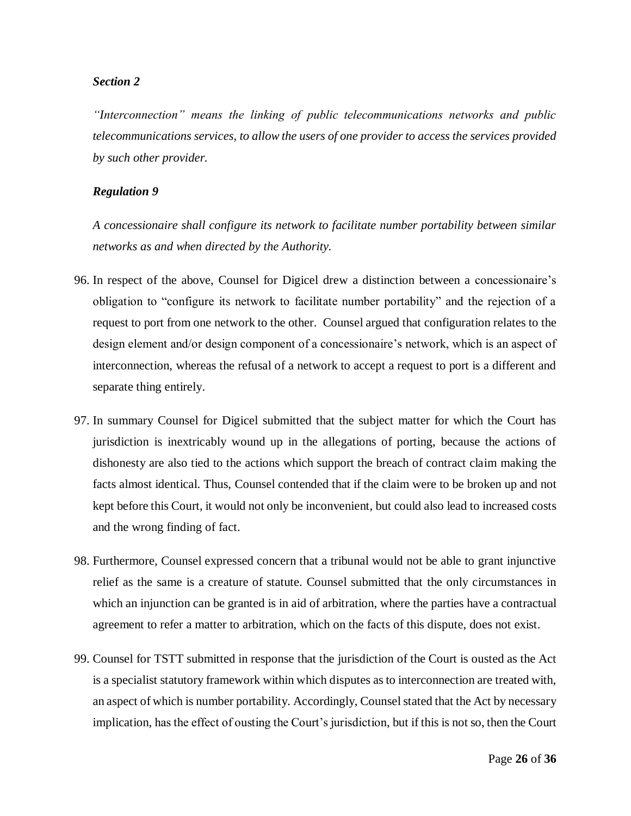#### *Section 2*

*"Interconnection" means the linking of public telecommunications networks and public telecommunications services, to allow the users of one provider to access the services provided by such other provider.*

#### *Regulation 9*

*A concessionaire shall configure its network to facilitate number portability between similar networks as and when directed by the Authority.*

- 96. In respect of the above, Counsel for Digicel drew a distinction between a concessionaire's obligation to "configure its network to facilitate number portability" and the rejection of a request to port from one network to the other. Counsel argued that configuration relates to the design element and/or design component of a concessionaire's network, which is an aspect of interconnection, whereas the refusal of a network to accept a request to port is a different and separate thing entirely.
- 97. In summary Counsel for Digicel submitted that the subject matter for which the Court has jurisdiction is inextricably wound up in the allegations of porting, because the actions of dishonesty are also tied to the actions which support the breach of contract claim making the facts almost identical. Thus, Counsel contended that if the claim were to be broken up and not kept before this Court, it would not only be inconvenient, but could also lead to increased costs and the wrong finding of fact.
- 98. Furthermore, Counsel expressed concern that a tribunal would not be able to grant injunctive relief as the same is a creature of statute. Counsel submitted that the only circumstances in which an injunction can be granted is in aid of arbitration, where the parties have a contractual agreement to refer a matter to arbitration, which on the facts of this dispute, does not exist.
- 99. Counsel for TSTT submitted in response that the jurisdiction of the Court is ousted as the Act is a specialist statutory framework within which disputes as to interconnection are treated with, an aspect of which is number portability. Accordingly, Counsel stated that the Act by necessary implication, has the effect of ousting the Court's jurisdiction, but if this is not so, then the Court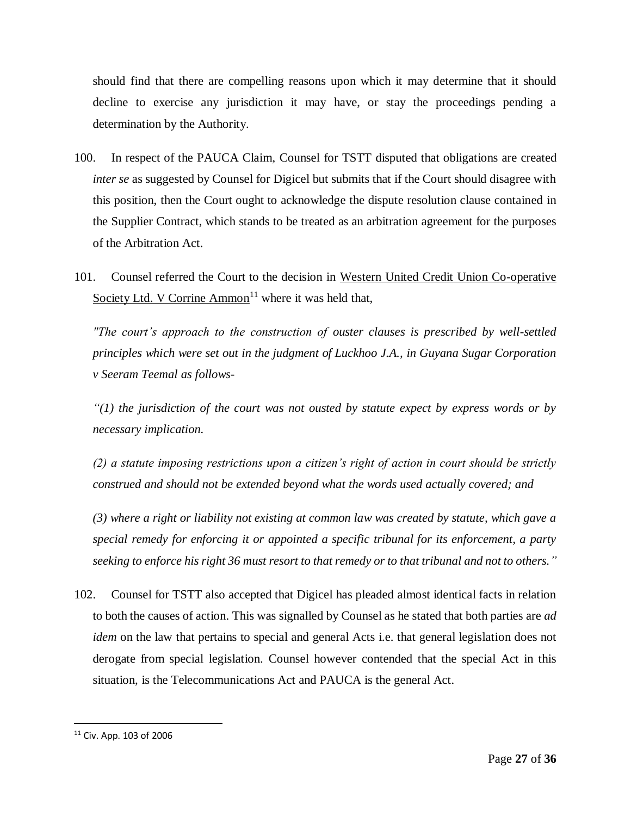should find that there are compelling reasons upon which it may determine that it should decline to exercise any jurisdiction it may have, or stay the proceedings pending a determination by the Authority.

- 100. In respect of the PAUCA Claim, Counsel for TSTT disputed that obligations are created *inter se* as suggested by Counsel for Digicel but submits that if the Court should disagree with this position, then the Court ought to acknowledge the dispute resolution clause contained in the Supplier Contract, which stands to be treated as an arbitration agreement for the purposes of the Arbitration Act.
- 101. Counsel referred the Court to the decision in Western United Credit Union Co-operative Society Ltd. V Corrine Ammon<sup>11</sup> where it was held that,

*"The court's approach to the construction of ouster clauses is prescribed by well-settled principles which were set out in the judgment of Luckhoo J.A., in Guyana Sugar Corporation v Seeram Teemal as follows-*

*"(1) the jurisdiction of the court was not ousted by statute expect by express words or by necessary implication.*

*(2) a statute imposing restrictions upon a citizen's right of action in court should be strictly construed and should not be extended beyond what the words used actually covered; and* 

*(3) where a right or liability not existing at common law was created by statute, which gave a special remedy for enforcing it or appointed a specific tribunal for its enforcement, a party seeking to enforce his right 36 must resort to that remedy or to that tribunal and not to others."*

102. Counsel for TSTT also accepted that Digicel has pleaded almost identical facts in relation to both the causes of action. This was signalled by Counsel as he stated that both parties are *ad idem* on the law that pertains to special and general Acts i.e. that general legislation does not derogate from special legislation. Counsel however contended that the special Act in this situation, is the Telecommunications Act and PAUCA is the general Act.

 $\overline{\phantom{a}}$ 

 $11$  Civ. App. 103 of 2006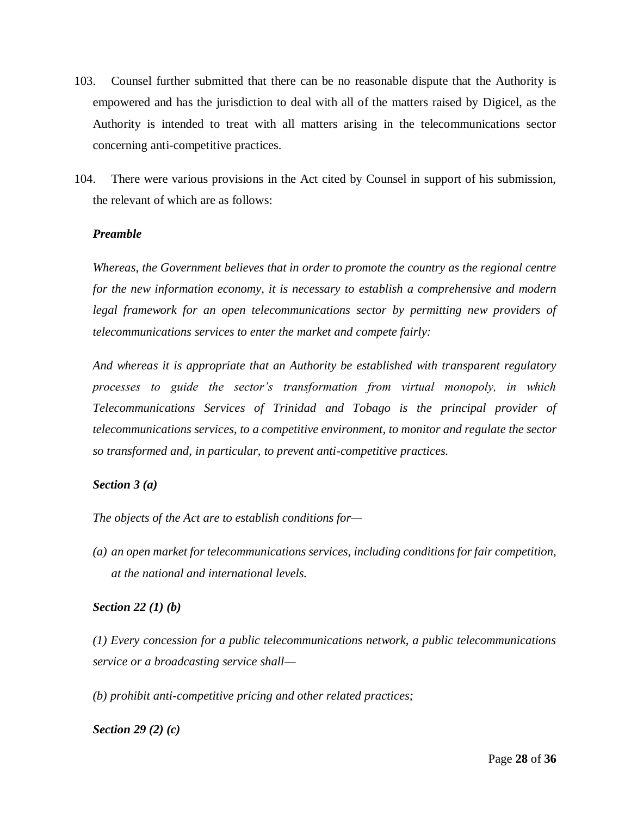- 103. Counsel further submitted that there can be no reasonable dispute that the Authority is empowered and has the jurisdiction to deal with all of the matters raised by Digicel, as the Authority is intended to treat with all matters arising in the telecommunications sector concerning anti-competitive practices.
- 104. There were various provisions in the Act cited by Counsel in support of his submission, the relevant of which are as follows:

## *Preamble*

*Whereas, the Government believes that in order to promote the country as the regional centre for the new information economy, it is necessary to establish a comprehensive and modern legal framework for an open telecommunications sector by permitting new providers of telecommunications services to enter the market and compete fairly:*

*And whereas it is appropriate that an Authority be established with transparent regulatory processes to guide the sector's transformation from virtual monopoly, in which Telecommunications Services of Trinidad and Tobago is the principal provider of telecommunications services, to a competitive environment, to monitor and regulate the sector so transformed and, in particular, to prevent anti-competitive practices.*

## *Section 3 (a)*

*The objects of the Act are to establish conditions for—*

*(a) an open market for telecommunications services, including conditions for fair competition, at the national and international levels.*

## *Section 22 (1) (b)*

*(1) Every concession for a public telecommunications network, a public telecommunications service or a broadcasting service shall—*

*(b) prohibit anti-competitive pricing and other related practices;*

*Section 29 (2) (c)*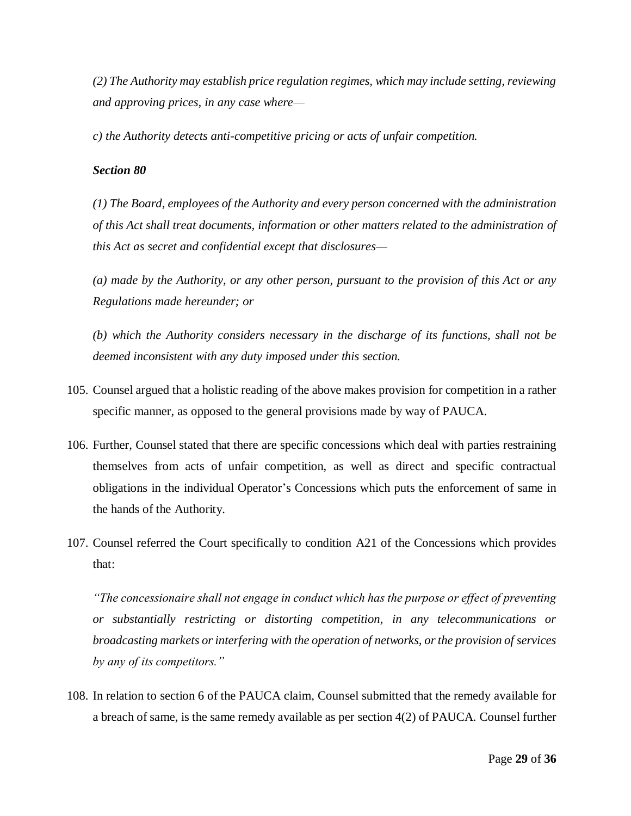*(2) The Authority may establish price regulation regimes, which may include setting, reviewing and approving prices, in any case where—*

*c) the Authority detects anti-competitive pricing or acts of unfair competition.*

## *Section 80*

*(1) The Board, employees of the Authority and every person concerned with the administration of this Act shall treat documents, information or other matters related to the administration of this Act as secret and confidential except that disclosures—*

*(a) made by the Authority, or any other person, pursuant to the provision of this Act or any Regulations made hereunder; or*

*(b) which the Authority considers necessary in the discharge of its functions, shall not be deemed inconsistent with any duty imposed under this section.*

- 105. Counsel argued that a holistic reading of the above makes provision for competition in a rather specific manner, as opposed to the general provisions made by way of PAUCA.
- 106. Further, Counsel stated that there are specific concessions which deal with parties restraining themselves from acts of unfair competition, as well as direct and specific contractual obligations in the individual Operator's Concessions which puts the enforcement of same in the hands of the Authority.
- 107. Counsel referred the Court specifically to condition A21 of the Concessions which provides that:

*"The concessionaire shall not engage in conduct which has the purpose or effect of preventing or substantially restricting or distorting competition, in any telecommunications or broadcasting markets or interfering with the operation of networks, or the provision of services by any of its competitors."*

108. In relation to section 6 of the PAUCA claim, Counsel submitted that the remedy available for a breach of same, is the same remedy available as per section 4(2) of PAUCA*.* Counsel further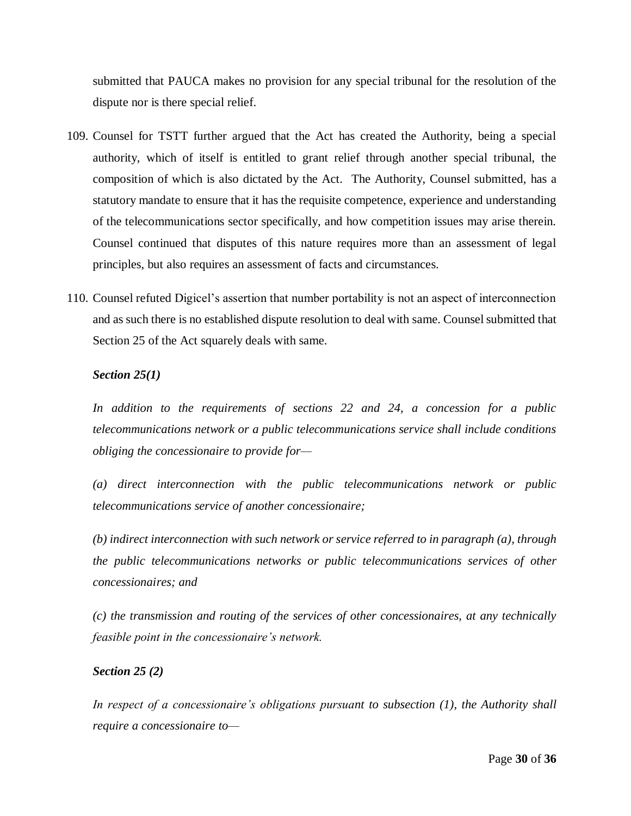submitted that PAUCA makes no provision for any special tribunal for the resolution of the dispute nor is there special relief.

- 109. Counsel for TSTT further argued that the Act has created the Authority, being a special authority, which of itself is entitled to grant relief through another special tribunal, the composition of which is also dictated by the Act. The Authority, Counsel submitted, has a statutory mandate to ensure that it has the requisite competence, experience and understanding of the telecommunications sector specifically, and how competition issues may arise therein. Counsel continued that disputes of this nature requires more than an assessment of legal principles, but also requires an assessment of facts and circumstances.
- 110. Counsel refuted Digicel's assertion that number portability is not an aspect of interconnection and as such there is no established dispute resolution to deal with same. Counsel submitted that Section 25 of the Act squarely deals with same.

## *Section 25(1)*

*In addition to the requirements of sections 22 and 24, a concession for a public telecommunications network or a public telecommunications service shall include conditions obliging the concessionaire to provide for—*

*(a) direct interconnection with the public telecommunications network or public telecommunications service of another concessionaire;*

*(b) indirect interconnection with such network or service referred to in paragraph (a), through the public telecommunications networks or public telecommunications services of other concessionaires; and*

*(c) the transmission and routing of the services of other concessionaires, at any technically feasible point in the concessionaire's network.*

#### *Section 25 (2)*

*In respect of a concessionaire's obligations pursuant to subsection (1), the Authority shall require a concessionaire to—*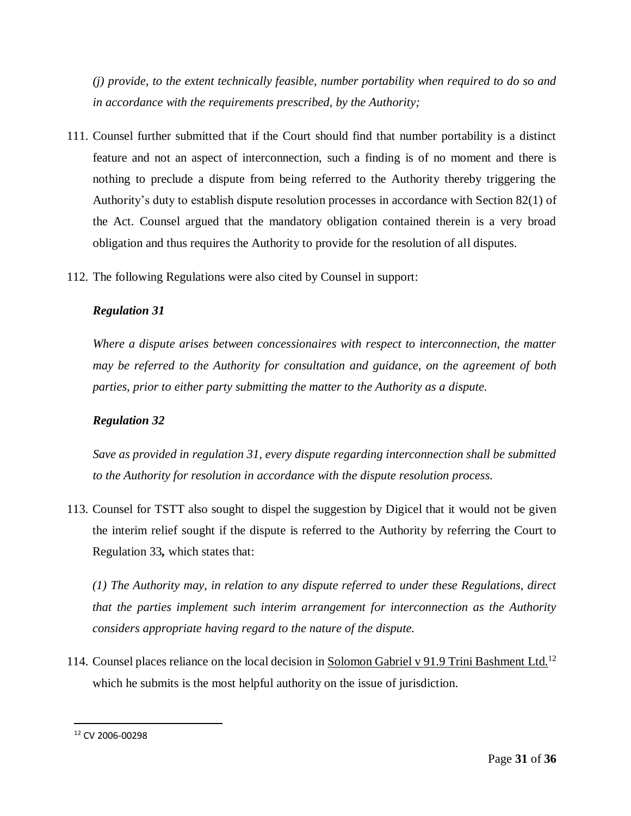*(j) provide, to the extent technically feasible, number portability when required to do so and in accordance with the requirements prescribed, by the Authority;*

- 111. Counsel further submitted that if the Court should find that number portability is a distinct feature and not an aspect of interconnection, such a finding is of no moment and there is nothing to preclude a dispute from being referred to the Authority thereby triggering the Authority's duty to establish dispute resolution processes in accordance with Section 82(1) of the Act. Counsel argued that the mandatory obligation contained therein is a very broad obligation and thus requires the Authority to provide for the resolution of all disputes.
- 112. The following Regulations were also cited by Counsel in support:

#### *Regulation 31*

*Where a dispute arises between concessionaires with respect to interconnection, the matter may be referred to the Authority for consultation and guidance, on the agreement of both parties, prior to either party submitting the matter to the Authority as a dispute.*

## *Regulation 32*

*Save as provided in regulation 31, every dispute regarding interconnection shall be submitted to the Authority for resolution in accordance with the dispute resolution process.*

113. Counsel for TSTT also sought to dispel the suggestion by Digicel that it would not be given the interim relief sought if the dispute is referred to the Authority by referring the Court to Regulation 33*,* which states that:

*(1) The Authority may, in relation to any dispute referred to under these Regulations, direct that the parties implement such interim arrangement for interconnection as the Authority considers appropriate having regard to the nature of the dispute.*

114. Counsel places reliance on the local decision in Solomon Gabriel v 91.9 Trini Bashment Ltd.<sup>12</sup> which he submits is the most helpful authority on the issue of jurisdiction.

 $\overline{\phantom{a}}$ 

<sup>12</sup> CV 2006-00298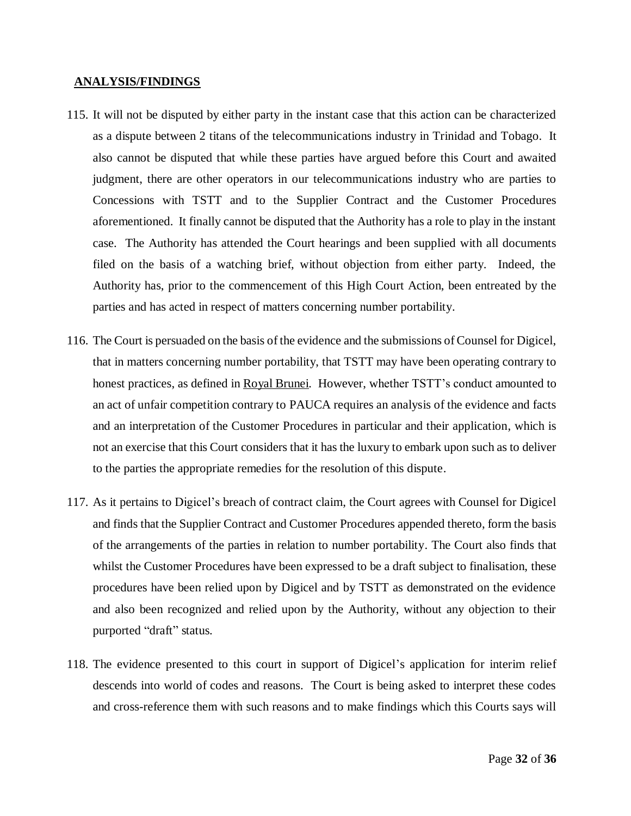#### **ANALYSIS/FINDINGS**

- 115. It will not be disputed by either party in the instant case that this action can be characterized as a dispute between 2 titans of the telecommunications industry in Trinidad and Tobago. It also cannot be disputed that while these parties have argued before this Court and awaited judgment, there are other operators in our telecommunications industry who are parties to Concessions with TSTT and to the Supplier Contract and the Customer Procedures aforementioned. It finally cannot be disputed that the Authority has a role to play in the instant case. The Authority has attended the Court hearings and been supplied with all documents filed on the basis of a watching brief, without objection from either party. Indeed, the Authority has, prior to the commencement of this High Court Action, been entreated by the parties and has acted in respect of matters concerning number portability.
- 116. The Court is persuaded on the basis of the evidence and the submissions of Counsel for Digicel, that in matters concerning number portability, that TSTT may have been operating contrary to honest practices, as defined in Royal Brunei*.* However, whether TSTT's conduct amounted to an act of unfair competition contrary to PAUCA requires an analysis of the evidence and facts and an interpretation of the Customer Procedures in particular and their application, which is not an exercise that this Court considers that it has the luxury to embark upon such as to deliver to the parties the appropriate remedies for the resolution of this dispute.
- 117. As it pertains to Digicel's breach of contract claim, the Court agrees with Counsel for Digicel and finds that the Supplier Contract and Customer Procedures appended thereto, form the basis of the arrangements of the parties in relation to number portability. The Court also finds that whilst the Customer Procedures have been expressed to be a draft subject to finalisation, these procedures have been relied upon by Digicel and by TSTT as demonstrated on the evidence and also been recognized and relied upon by the Authority, without any objection to their purported "draft" status.
- 118. The evidence presented to this court in support of Digicel's application for interim relief descends into world of codes and reasons. The Court is being asked to interpret these codes and cross-reference them with such reasons and to make findings which this Courts says will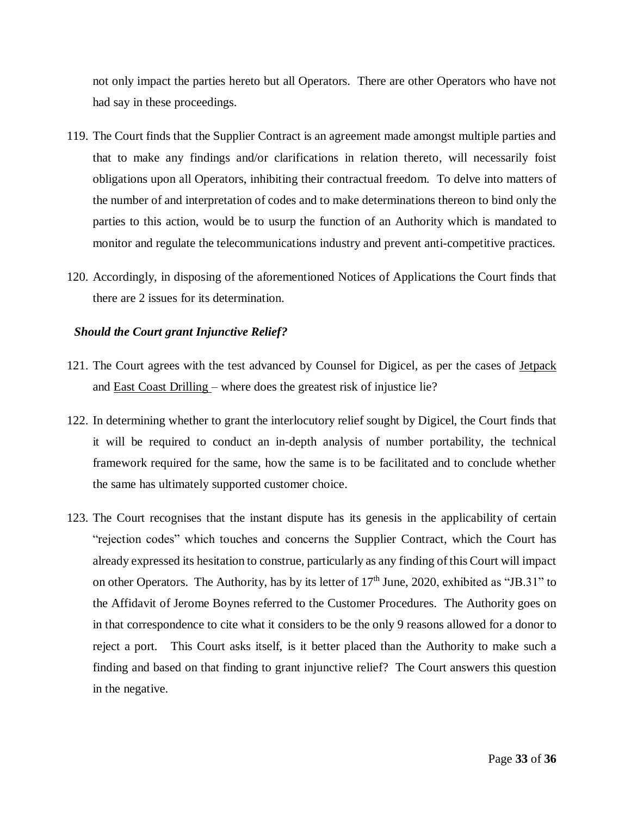not only impact the parties hereto but all Operators. There are other Operators who have not had say in these proceedings.

- 119. The Court finds that the Supplier Contract is an agreement made amongst multiple parties and that to make any findings and/or clarifications in relation thereto, will necessarily foist obligations upon all Operators, inhibiting their contractual freedom. To delve into matters of the number of and interpretation of codes and to make determinations thereon to bind only the parties to this action, would be to usurp the function of an Authority which is mandated to monitor and regulate the telecommunications industry and prevent anti-competitive practices.
- 120. Accordingly, in disposing of the aforementioned Notices of Applications the Court finds that there are 2 issues for its determination.

#### *Should the Court grant Injunctive Relief?*

- 121. The Court agrees with the test advanced by Counsel for Digicel, as per the cases of Jetpack and East Coast Drilling – where does the greatest risk of injustice lie?
- 122. In determining whether to grant the interlocutory relief sought by Digicel, the Court finds that it will be required to conduct an in-depth analysis of number portability, the technical framework required for the same, how the same is to be facilitated and to conclude whether the same has ultimately supported customer choice.
- 123. The Court recognises that the instant dispute has its genesis in the applicability of certain "rejection codes" which touches and concerns the Supplier Contract, which the Court has already expressed its hesitation to construe, particularly as any finding of this Court will impact on other Operators. The Authority, has by its letter of  $17<sup>th</sup>$  June, 2020, exhibited as "JB.31" to the Affidavit of Jerome Boynes referred to the Customer Procedures. The Authority goes on in that correspondence to cite what it considers to be the only 9 reasons allowed for a donor to reject a port. This Court asks itself, is it better placed than the Authority to make such a finding and based on that finding to grant injunctive relief? The Court answers this question in the negative.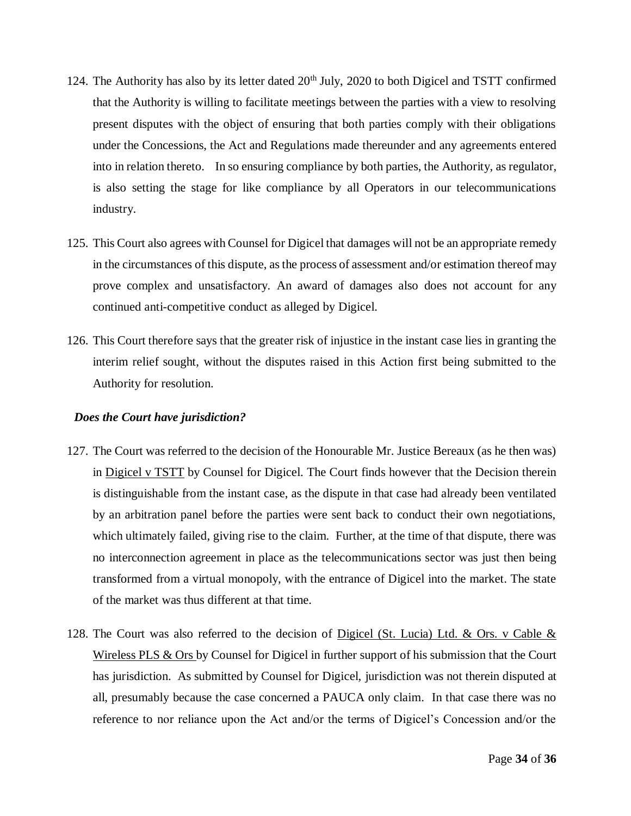- 124. The Authority has also by its letter dated  $20<sup>th</sup>$  July, 2020 to both Digicel and TSTT confirmed that the Authority is willing to facilitate meetings between the parties with a view to resolving present disputes with the object of ensuring that both parties comply with their obligations under the Concessions, the Act and Regulations made thereunder and any agreements entered into in relation thereto. In so ensuring compliance by both parties, the Authority, as regulator, is also setting the stage for like compliance by all Operators in our telecommunications industry.
- 125. This Court also agrees with Counsel for Digicel that damages will not be an appropriate remedy in the circumstances of this dispute, as the process of assessment and/or estimation thereof may prove complex and unsatisfactory. An award of damages also does not account for any continued anti-competitive conduct as alleged by Digicel.
- 126. This Court therefore says that the greater risk of injustice in the instant case lies in granting the interim relief sought, without the disputes raised in this Action first being submitted to the Authority for resolution.

## *Does the Court have jurisdiction?*

- 127. The Court was referred to the decision of the Honourable Mr. Justice Bereaux (as he then was) in Digicel v TSTT by Counsel for Digicel. The Court finds however that the Decision therein is distinguishable from the instant case, as the dispute in that case had already been ventilated by an arbitration panel before the parties were sent back to conduct their own negotiations, which ultimately failed, giving rise to the claim. Further, at the time of that dispute, there was no interconnection agreement in place as the telecommunications sector was just then being transformed from a virtual monopoly, with the entrance of Digicel into the market. The state of the market was thus different at that time.
- 128. The Court was also referred to the decision of Digicel (St. Lucia) Ltd. & Ors. v Cable  $\&$ Wireless PLS  $\&$  Ors by Counsel for Digicel in further support of his submission that the Court has jurisdiction. As submitted by Counsel for Digicel, jurisdiction was not therein disputed at all, presumably because the case concerned a PAUCA only claim. In that case there was no reference to nor reliance upon the Act and/or the terms of Digicel's Concession and/or the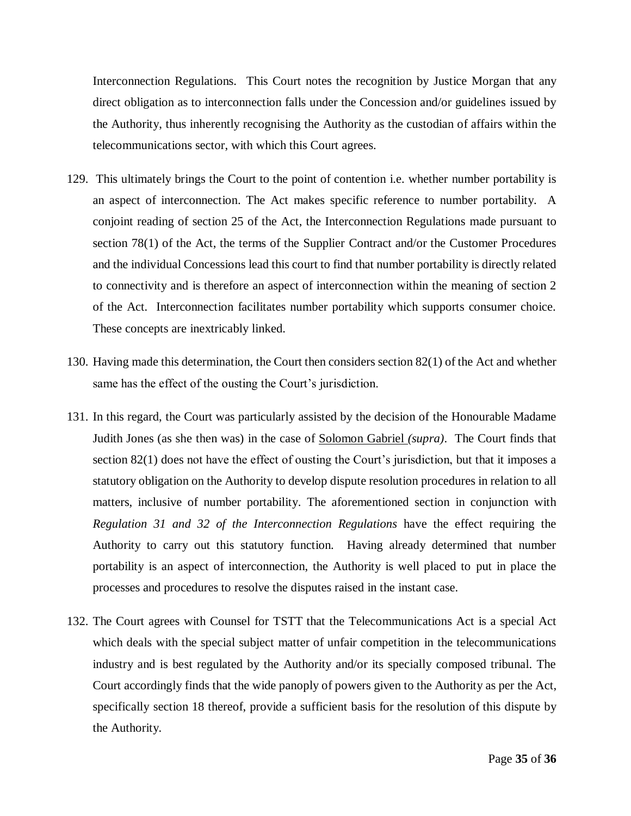Interconnection Regulations. This Court notes the recognition by Justice Morgan that any direct obligation as to interconnection falls under the Concession and/or guidelines issued by the Authority, thus inherently recognising the Authority as the custodian of affairs within the telecommunications sector, with which this Court agrees.

- 129. This ultimately brings the Court to the point of contention i.e. whether number portability is an aspect of interconnection. The Act makes specific reference to number portability. A conjoint reading of section 25 of the Act, the Interconnection Regulations made pursuant to section 78(1) of the Act, the terms of the Supplier Contract and/or the Customer Procedures and the individual Concessions lead this court to find that number portability is directly related to connectivity and is therefore an aspect of interconnection within the meaning of section 2 of the Act*.* Interconnection facilitates number portability which supports consumer choice. These concepts are inextricably linked.
- 130. Having made this determination, the Court then considers section 82(1) of the Act and whether same has the effect of the ousting the Court's jurisdiction.
- 131. In this regard, the Court was particularly assisted by the decision of the Honourable Madame Judith Jones (as she then was) in the case of Solomon Gabriel *(supra)*. The Court finds that section 82(1) does not have the effect of ousting the Court's jurisdiction, but that it imposes a statutory obligation on the Authority to develop dispute resolution procedures in relation to all matters, inclusive of number portability. The aforementioned section in conjunction with *Regulation 31 and 32 of the Interconnection Regulations* have the effect requiring the Authority to carry out this statutory function. Having already determined that number portability is an aspect of interconnection, the Authority is well placed to put in place the processes and procedures to resolve the disputes raised in the instant case.
- 132. The Court agrees with Counsel for TSTT that the Telecommunications Act is a special Act which deals with the special subject matter of unfair competition in the telecommunications industry and is best regulated by the Authority and/or its specially composed tribunal. The Court accordingly finds that the wide panoply of powers given to the Authority as per the Act, specifically section 18 thereof, provide a sufficient basis for the resolution of this dispute by the Authority.